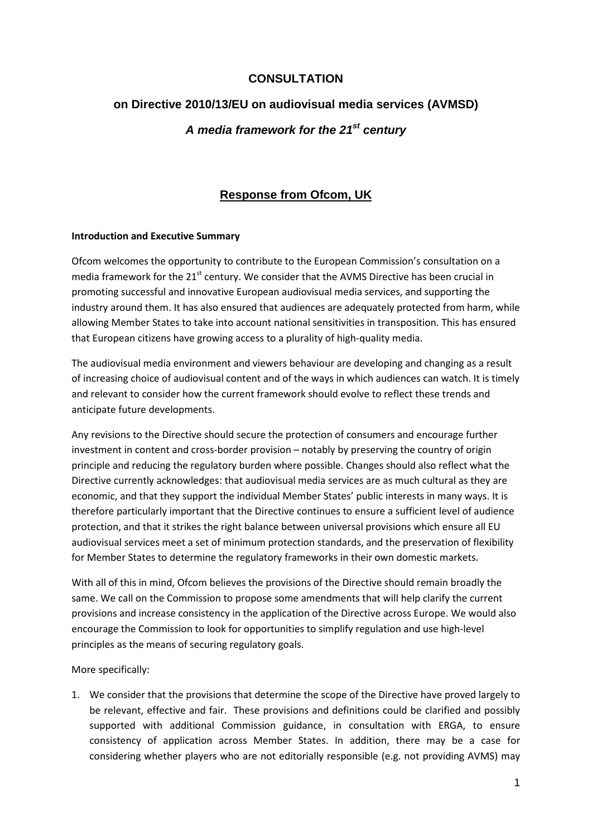# **CONSULTATION**

# **on Directive 2010/13/EU on audiovisual media services (AVMSD)**  *A media framework for the 21st century*

# **Response from Ofcom, UK**

### **Introduction and Executive Summary**

Ofcom welcomes the opportunity to contribute to the European Commission's consultation on a media framework for the 21<sup>st</sup> century. We consider that the AVMS Directive has been crucial in promoting successful and innovative European audiovisual media services, and supporting the industry around them. It has also ensured that audiences are adequately protected from harm, while allowing Member States to take into account national sensitivities in transposition. This has ensured that European citizens have growing access to a plurality of high-quality media.

The audiovisual media environment and viewers behaviour are developing and changing as a result of increasing choice of audiovisual content and of the ways in which audiences can watch. It is timely and relevant to consider how the current framework should evolve to reflect these trends and anticipate future developments.

Any revisions to the Directive should secure the protection of consumers and encourage further investment in content and cross-border provision – notably by preserving the country of origin principle and reducing the regulatory burden where possible. Changes should also reflect what the Directive currently acknowledges: that audiovisual media services are as much cultural as they are economic, and that they support the individual Member States' public interests in many ways. It is therefore particularly important that the Directive continues to ensure a sufficient level of audience protection, and that it strikes the right balance between universal provisions which ensure all EU audiovisual services meet a set of minimum protection standards, and the preservation of flexibility for Member States to determine the regulatory frameworks in their own domestic markets.

With all of this in mind, Ofcom believes the provisions of the Directive should remain broadly the same. We call on the Commission to propose some amendments that will help clarify the current provisions and increase consistency in the application of the Directive across Europe. We would also encourage the Commission to look for opportunities to simplify regulation and use high-level principles as the means of securing regulatory goals.

More specifically:

1. We consider that the provisions that determine the scope of the Directive have proved largely to be relevant, effective and fair. These provisions and definitions could be clarified and possibly supported with additional Commission guidance, in consultation with ERGA, to ensure consistency of application across Member States. In addition, there may be a case for considering whether players who are not editorially responsible (e.g. not providing AVMS) may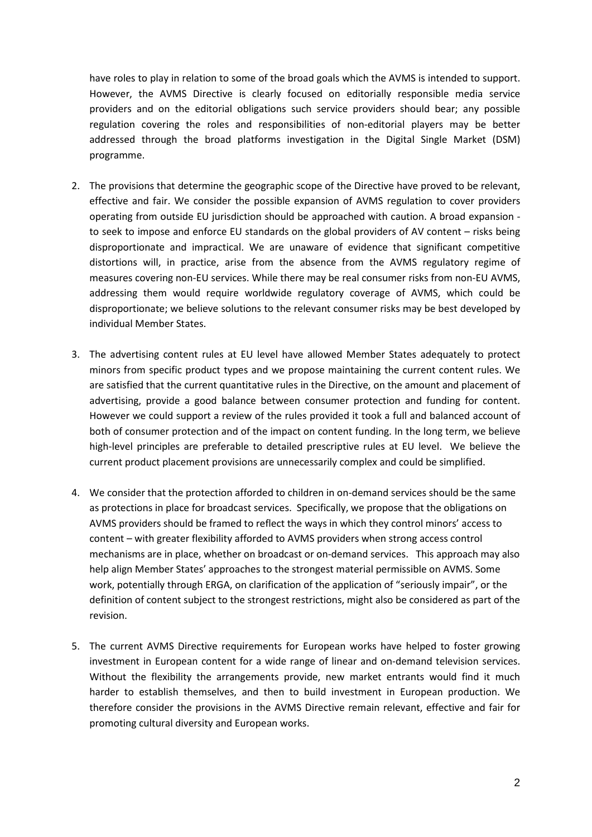have roles to play in relation to some of the broad goals which the AVMS is intended to support. However, the AVMS Directive is clearly focused on editorially responsible media service providers and on the editorial obligations such service providers should bear; any possible regulation covering the roles and responsibilities of non-editorial players may be better addressed through the broad platforms investigation in the Digital Single Market (DSM) programme.

- 2. The provisions that determine the geographic scope of the Directive have proved to be relevant, effective and fair. We consider the possible expansion of AVMS regulation to cover providers operating from outside EU jurisdiction should be approached with caution. A broad expansion to seek to impose and enforce EU standards on the global providers of AV content – risks being disproportionate and impractical. We are unaware of evidence that significant competitive distortions will, in practice, arise from the absence from the AVMS regulatory regime of measures covering non-EU services. While there may be real consumer risks from non-EU AVMS, addressing them would require worldwide regulatory coverage of AVMS, which could be disproportionate; we believe solutions to the relevant consumer risks may be best developed by individual Member States.
- 3. The advertising content rules at EU level have allowed Member States adequately to protect minors from specific product types and we propose maintaining the current content rules. We are satisfied that the current quantitative rules in the Directive, on the amount and placement of advertising, provide a good balance between consumer protection and funding for content. However we could support a review of the rules provided it took a full and balanced account of both of consumer protection and of the impact on content funding. In the long term, we believe high-level principles are preferable to detailed prescriptive rules at EU level. We believe the current product placement provisions are unnecessarily complex and could be simplified.
- 4. We consider that the protection afforded to children in on-demand services should be the same as protections in place for broadcast services. Specifically, we propose that the obligations on AVMS providers should be framed to reflect the ways in which they control minors' access to content – with greater flexibility afforded to AVMS providers when strong access control mechanisms are in place, whether on broadcast or on-demand services. This approach may also help align Member States' approaches to the strongest material permissible on AVMS. Some work, potentially through ERGA, on clarification of the application of "seriously impair", or the definition of content subject to the strongest restrictions, might also be considered as part of the revision.
- 5. The current AVMS Directive requirements for European works have helped to foster growing investment in European content for a wide range of linear and on-demand television services. Without the flexibility the arrangements provide, new market entrants would find it much harder to establish themselves, and then to build investment in European production. We therefore consider the provisions in the AVMS Directive remain relevant, effective and fair for promoting cultural diversity and European works.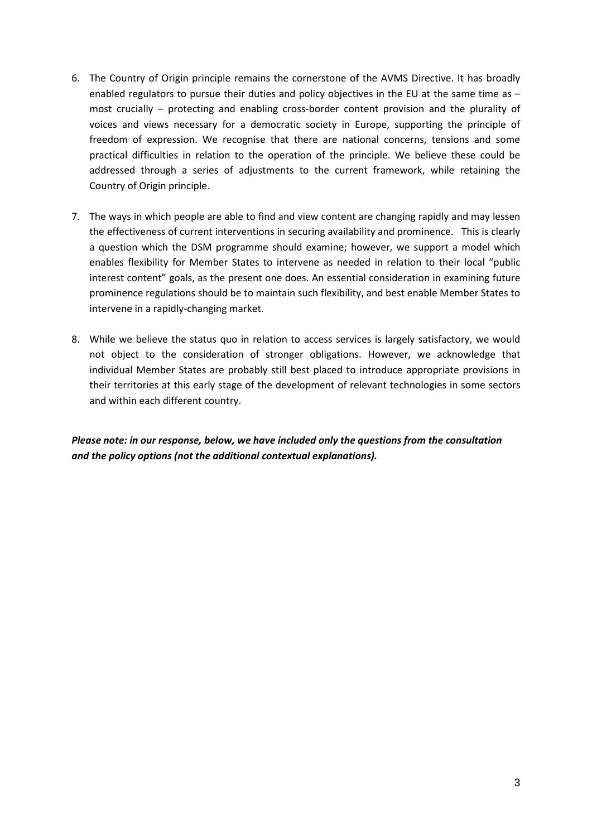- 6. The Country of Origin principle remains the cornerstone of the AVMS Directive. It has broadly enabled regulators to pursue their duties and policy objectives in the EU at the same time as most crucially – protecting and enabling cross-border content provision and the plurality of voices and views necessary for a democratic society in Europe, supporting the principle of freedom of expression. We recognise that there are national concerns, tensions and some practical difficulties in relation to the operation of the principle. We believe these could be addressed through a series of adjustments to the current framework, while retaining the Country of Origin principle.
- 7. The ways in which people are able to find and view content are changing rapidly and may lessen the effectiveness of current interventions in securing availability and prominence. This is clearly a question which the DSM programme should examine; however, we support a model which enables flexibility for Member States to intervene as needed in relation to their local "public interest content" goals, as the present one does. An essential consideration in examining future prominence regulations should be to maintain such flexibility, and best enable Member States to intervene in a rapidly-changing market.
- 8. While we believe the status quo in relation to access services is largely satisfactory, we would not object to the consideration of stronger obligations. However, we acknowledge that individual Member States are probably still best placed to introduce appropriate provisions in their territories at this early stage of the development of relevant technologies in some sectors and within each different country.

*Please note: in our response, below, we have included only the questions from the consultation and the policy options (not the additional contextual explanations).*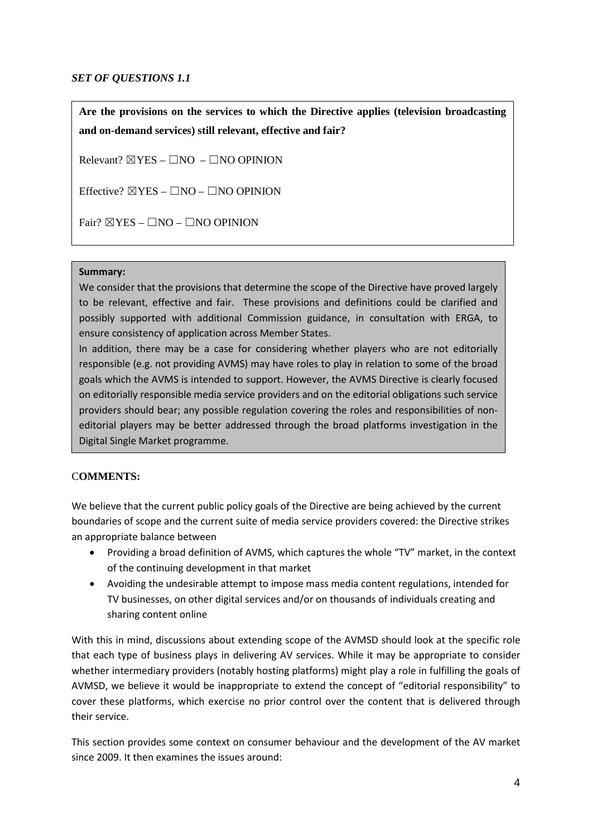### *SET OF QUESTIONS 1.1*

**Are the provisions on the services to which the Directive applies (television broadcasting and on-demand services) still relevant, effective and fair?**

Relevant?  $\boxtimes$  YES –  $\Box$ NO –  $\Box$ NO OPINION

Effective?  $\boxtimes$ YES –  $\Box$ NO –  $\Box$ NO OPINION

Fair?  $\boxtimes$ YES –  $\Box$ NO –  $\Box$ NO OPINION

### **Summary:**

We consider that the provisions that determine the scope of the Directive have proved largely to be relevant, effective and fair. These provisions and definitions could be clarified and possibly supported with additional Commission guidance, in consultation with ERGA, to ensure consistency of application across Member States.

In addition, there may be a case for considering whether players who are not editorially responsible (e.g. not providing AVMS) may have roles to play in relation to some of the broad goals which the AVMS is intended to support. However, the AVMS Directive is clearly focused on editorially responsible media service providers and on the editorial obligations such service providers should bear; any possible regulation covering the roles and responsibilities of noneditorial players may be better addressed through the broad platforms investigation in the Digital Single Market programme.

### C**OMMENTS:**

We believe that the current public policy goals of the Directive are being achieved by the current boundaries of scope and the current suite of media service providers covered: the Directive strikes an appropriate balance between

- Providing a broad definition of AVMS, which captures the whole "TV" market, in the context of the continuing development in that market
- Avoiding the undesirable attempt to impose mass media content regulations, intended for TV businesses, on other digital services and/or on thousands of individuals creating and sharing content online

With this in mind, discussions about extending scope of the AVMSD should look at the specific role that each type of business plays in delivering AV services. While it may be appropriate to consider whether intermediary providers (notably hosting platforms) might play a role in fulfilling the goals of AVMSD, we believe it would be inappropriate to extend the concept of "editorial responsibility" to cover these platforms, which exercise no prior control over the content that is delivered through their service.

This section provides some context on consumer behaviour and the development of the AV market since 2009. It then examines the issues around: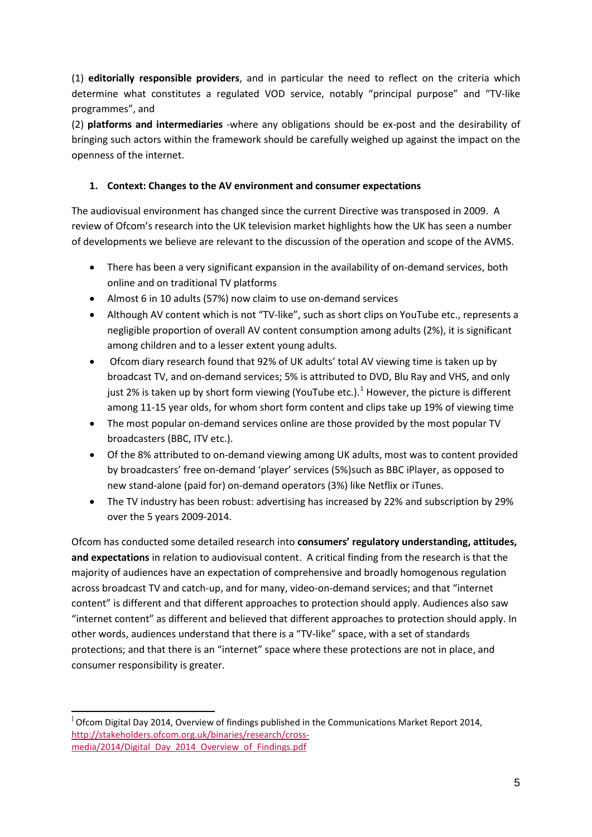(1) **editorially responsible providers**, and in particular the need to reflect on the criteria which determine what constitutes a regulated VOD service, notably "principal purpose" and "TV-like programmes", and

(2) **platforms and intermediaries** -where any obligations should be ex-post and the desirability of bringing such actors within the framework should be carefully weighed up against the impact on the openness of the internet.

# **1. Context: Changes to the AV environment and consumer expectations**

The audiovisual environment has changed since the current Directive was transposed in 2009. A review of Ofcom's research into the UK television market highlights how the UK has seen a number of developments we believe are relevant to the discussion of the operation and scope of the AVMS.

- There has been a very significant expansion in the availability of on-demand services, both online and on traditional TV platforms
- Almost 6 in 10 adults (57%) now claim to use on-demand services
- Although AV content which is not "TV-like", such as short clips on YouTube etc., represents a negligible proportion of overall AV content consumption among adults (2%), it is significant among children and to a lesser extent young adults.
- Ofcom diary research found that 92% of UK adults' total AV viewing time is taken up by broadcast TV, and on-demand services; 5% is attributed to DVD, Blu Ray and VHS, and only just 2% is taken up by short form viewing (YouTube etc.).<sup>[1](#page-4-0)</sup> However, the picture is different among 11-15 year olds, for whom short form content and clips take up 19% of viewing time
- The most popular on-demand services online are those provided by the most popular TV broadcasters (BBC, ITV etc.).
- Of the 8% attributed to on-demand viewing among UK adults, most was to content provided by broadcasters' free on-demand 'player' services (5%)such as BBC iPlayer, as opposed to new stand-alone (paid for) on-demand operators (3%) like Netflix or iTunes.
- The TV industry has been robust: advertising has increased by 22% and subscription by 29% over the 5 years 2009-2014.

Ofcom has conducted some detailed research into **consumers' regulatory understanding, attitudes, and expectations** in relation to audiovisual content. A critical finding from the research is that the majority of audiences have an expectation of comprehensive and broadly homogenous regulation across broadcast TV and catch-up, and for many, video-on-demand services; and that "internet content" is different and that different approaches to protection should apply. Audiences also saw "internet content" as different and believed that different approaches to protection should apply. In other words, audiences understand that there is a "TV-like" space, with a set of standards protections; and that there is an "internet" space where these protections are not in place, and consumer responsibility is greater.

 $\overline{a}$ 

<span id="page-4-0"></span> $^{1}$  Ofcom Digital Day 2014, Overview of findings published in the Communications Market Report 2014, [http://stakeholders.ofcom.org.uk/binaries/research/cross](http://stakeholders.ofcom.org.uk/binaries/research/cross-media/2014/Digital_Day_2014_Overview_of_Findings.pdf)[media/2014/Digital\\_Day\\_2014\\_Overview\\_of\\_Findings.pdf](http://stakeholders.ofcom.org.uk/binaries/research/cross-media/2014/Digital_Day_2014_Overview_of_Findings.pdf)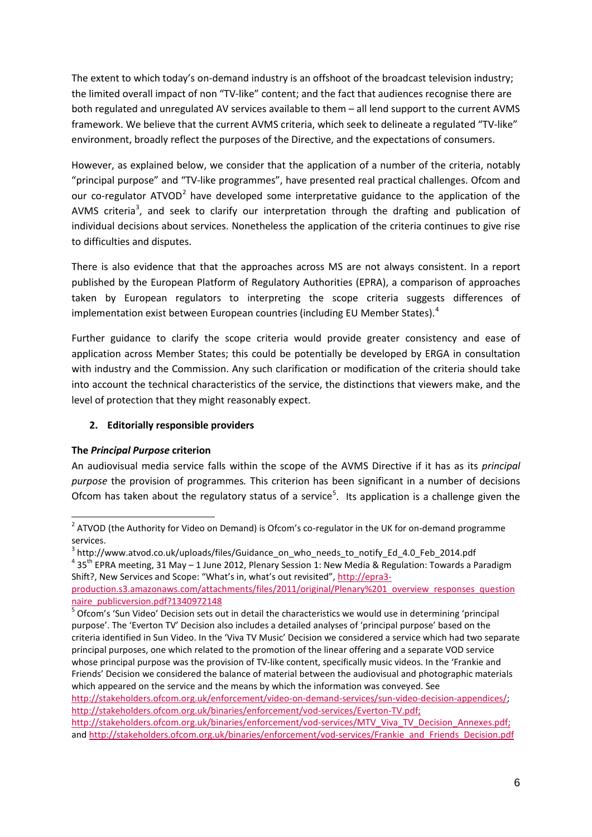The extent to which today's on-demand industry is an offshoot of the broadcast television industry; the limited overall impact of non "TV-like" content; and the fact that audiences recognise there are both regulated and unregulated AV services available to them – all lend support to the current AVMS framework. We believe that the current AVMS criteria, which seek to delineate a regulated "TV-like" environment, broadly reflect the purposes of the Directive, and the expectations of consumers.

However, as explained below, we consider that the application of a number of the criteria, notably "principal purpose" and "TV-like programmes", have presented real practical challenges. Ofcom and our co-regulator ATVOD<sup>[2](#page-5-0)</sup> have developed some interpretative guidance to the application of the AVMS criteria<sup>[3](#page-5-1)</sup>, and seek to clarify our interpretation through the drafting and publication of individual decisions about services. Nonetheless the application of the criteria continues to give rise to difficulties and disputes.

There is also evidence that that the approaches across MS are not always consistent. In a report published by the European Platform of Regulatory Authorities (EPRA), a comparison of approaches taken by European regulators to interpreting the scope criteria suggests differences of implementation exist between European countries (including EU Member States).<sup>[4](#page-5-2)</sup>

Further guidance to clarify the scope criteria would provide greater consistency and ease of application across Member States; this could be potentially be developed by ERGA in consultation with industry and the Commission. Any such clarification or modification of the criteria should take into account the technical characteristics of the service, the distinctions that viewers make, and the level of protection that they might reasonably expect.

# **2. Editorially responsible providers**

### **The** *Principal Purpose* **criterion**

An audiovisual media service falls within the scope of the AVMS Directive if it has as its *principal purpose* the provision of programmes*.* This criterion has been significant in a number of decisions Ofcom has taken about the regulatory status of a service<sup>[5](#page-5-3)</sup>. Its application is a challenge given the

[http://stakeholders.ofcom.org.uk/binaries/enforcement/vod-services/Everton-TV.pdf;](http://stakeholders.ofcom.org.uk/binaries/enforcement/vod-services/Everton-TV.pdf)

[http://stakeholders.ofcom.org.uk/binaries/enforcement/vod-services/MTV\\_Viva\\_TV\\_Decision\\_Annexes.pdf;](http://stakeholders.ofcom.org.uk/binaries/enforcement/vod-services/MTV_Viva_TV_Decision_Annexes.pdf) an[d http://stakeholders.ofcom.org.uk/binaries/enforcement/vod-services/Frankie\\_and\\_Friends\\_Decision.pdf](http://stakeholders.ofcom.org.uk/binaries/enforcement/vod-services/Frankie_and_Friends_Decision.pdf)

 $2$  ATVOD (the Authority for Video on Demand) is Ofcom's co-regulator in the UK for on-demand programme  $\overline{a}$ 

<span id="page-5-1"></span><span id="page-5-0"></span>services.<br><sup>3</sup> http://www.atvod.co.uk/uploads/files/Guidance\_on\_who\_needs\_to\_notify\_Ed\_4.0\_Feb\_2014.pdf

<span id="page-5-2"></span> $435<sup>th</sup>$  EPRA meeting, 31 May – 1 June 2012, Plenary Session 1: New Media & Regulation: Towards a Paradigm Shift?, New Services and Scope: "What's in, what's out revisited"[, http://epra3-](http://epra3-production.s3.amazonaws.com/attachments/files/2011/original/Plenary%201_overview_responses_questionnaire_publicversion.pdf?1340972148)

[production.s3.amazonaws.com/attachments/files/2011/original/Plenary%201\\_overview\\_responses\\_question](http://epra3-production.s3.amazonaws.com/attachments/files/2011/original/Plenary%201_overview_responses_questionnaire_publicversion.pdf?1340972148) [naire\\_publicversion.pdf?1340972148](http://epra3-production.s3.amazonaws.com/attachments/files/2011/original/Plenary%201_overview_responses_questionnaire_publicversion.pdf?1340972148)

<span id="page-5-3"></span><sup>5</sup> Ofcom's 'Sun Video' Decision sets out in detail the characteristics we would use in determining 'principal purpose'. The 'Everton TV' Decision also includes a detailed analyses of 'principal purpose' based on the criteria identified in Sun Video. In the 'Viva TV Music' Decision we considered a service which had two separate principal purposes, one which related to the promotion of the linear offering and a separate VOD service whose principal purpose was the provision of TV-like content, specifically music videos. In the 'Frankie and Friends' Decision we considered the balance of material between the audiovisual and photographic materials which appeared on the service and the means by which the information was conveyed. See [http://stakeholders.ofcom.org.uk/enforcement/video-on-demand-services/sun-video-decision-appendices/;](http://stakeholders.ofcom.org.uk/enforcement/video-on-demand-services/sun-video-decision-appendices/)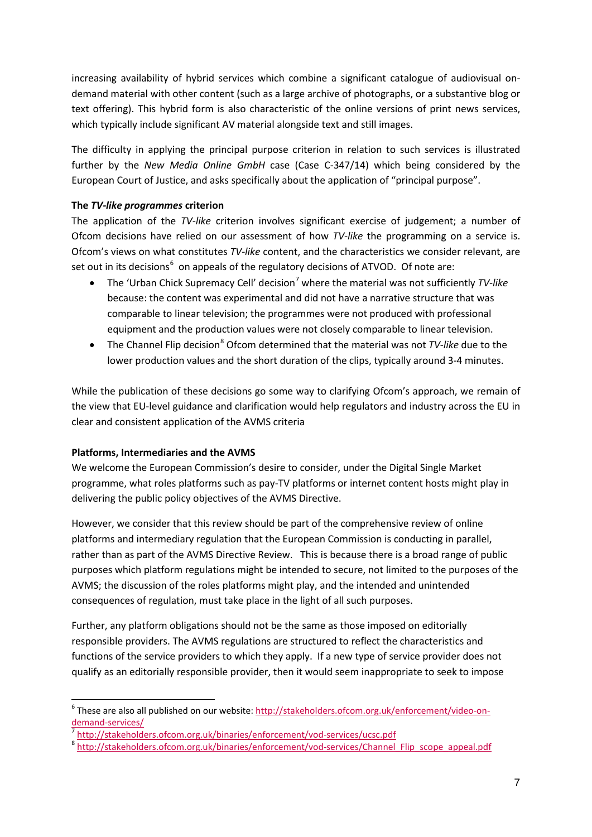increasing availability of hybrid services which combine a significant catalogue of audiovisual ondemand material with other content (such as a large archive of photographs, or a substantive blog or text offering). This hybrid form is also characteristic of the online versions of print news services, which typically include significant AV material alongside text and still images.

The difficulty in applying the principal purpose criterion in relation to such services is illustrated further by the *New Media Online GmbH* case (Case C-347/14) which being considered by the European Court of Justice, and asks specifically about the application of "principal purpose".

### **The** *TV-like programmes* **criterion**

The application of the *TV-like* criterion involves significant exercise of judgement; a number of Ofcom decisions have relied on our assessment of how *TV-like* the programming on a service is. Ofcom's views on what constitutes *TV-like* content, and the characteristics we consider relevant, are set out in its decisions<sup>[6](#page-6-0)</sup> on appeals of the regulatory decisions of ATVOD. Of note are:

- The 'Urban Chick Supremacy Cell' decision<sup>[7](#page-6-1)</sup> where the material was not sufficiently *TV-like* because: the content was experimental and did not have a narrative structure that was comparable to linear television; the programmes were not produced with professional equipment and the production values were not closely comparable to linear television.
- The Channel Flip decision<sup>[8](#page-6-2)</sup> Ofcom determined that the material was not *TV-like* due to the lower production values and the short duration of the clips, typically around 3-4 minutes.

While the publication of these decisions go some way to clarifying Ofcom's approach, we remain of the view that EU-level guidance and clarification would help regulators and industry across the EU in clear and consistent application of the AVMS criteria

### **Platforms, Intermediaries and the AVMS**

-

We welcome the European Commission's desire to consider, under the Digital Single Market programme, what roles platforms such as pay-TV platforms or internet content hosts might play in delivering the public policy objectives of the AVMS Directive.

However, we consider that this review should be part of the comprehensive review of online platforms and intermediary regulation that the European Commission is conducting in parallel, rather than as part of the AVMS Directive Review. This is because there is a broad range of public purposes which platform regulations might be intended to secure, not limited to the purposes of the AVMS; the discussion of the roles platforms might play, and the intended and unintended consequences of regulation, must take place in the light of all such purposes.

Further, any platform obligations should not be the same as those imposed on editorially responsible providers. The AVMS regulations are structured to reflect the characteristics and functions of the service providers to which they apply. If a new type of service provider does not qualify as an editorially responsible provider, then it would seem inappropriate to seek to impose

<span id="page-6-0"></span><sup>&</sup>lt;sup>6</sup> These are also all published on our website: [http://stakeholders.ofcom.org.uk/enforcement/video-on](http://stakeholders.ofcom.org.uk/enforcement/video-on-demand-services/)[demand-services/](http://stakeholders.ofcom.org.uk/enforcement/video-on-demand-services/)<br>
<sup>7</sup> <http://stakeholders.ofcom.org.uk/binaries/enforcement/vod-services/ucsc.pdf><br>
<sup>8</sup> http://stakeholders.ofcom.org.uk/binaries/enforcement/vod-se<u>rvices/Channel\_Flip\_scope\_appeal.pdf</u>

<span id="page-6-1"></span>

<span id="page-6-2"></span>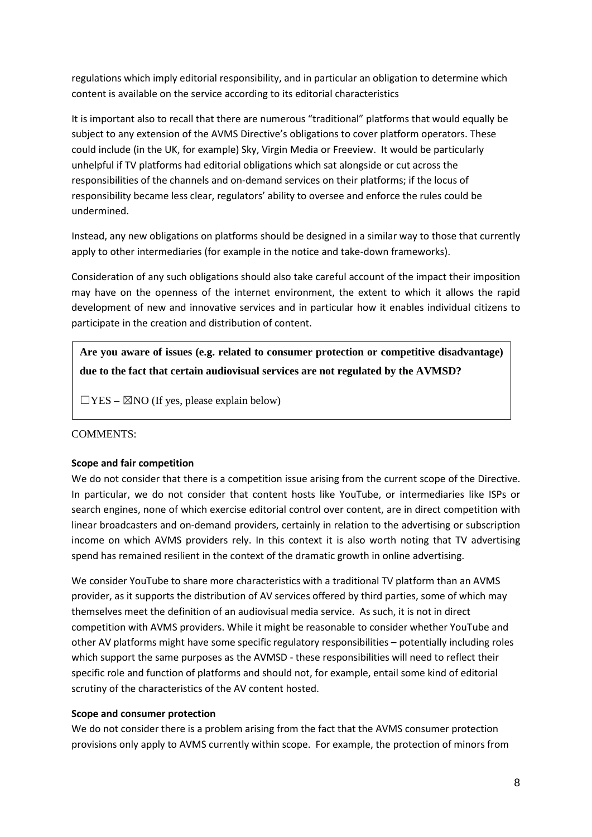regulations which imply editorial responsibility, and in particular an obligation to determine which content is available on the service according to its editorial characteristics

It is important also to recall that there are numerous "traditional" platforms that would equally be subject to any extension of the AVMS Directive's obligations to cover platform operators. These could include (in the UK, for example) Sky, Virgin Media or Freeview. It would be particularly unhelpful if TV platforms had editorial obligations which sat alongside or cut across the responsibilities of the channels and on-demand services on their platforms; if the locus of responsibility became less clear, regulators' ability to oversee and enforce the rules could be undermined.

Instead, any new obligations on platforms should be designed in a similar way to those that currently apply to other intermediaries (for example in the notice and take-down frameworks).

Consideration of any such obligations should also take careful account of the impact their imposition may have on the openness of the internet environment, the extent to which it allows the rapid development of new and innovative services and in particular how it enables individual citizens to participate in the creation and distribution of content.

**Are you aware of issues (e.g. related to consumer protection or competitive disadvantage) due to the fact that certain audiovisual services are not regulated by the AVMSD?**

 $\Box$ YES –  $\boxtimes$ NO (If yes, please explain below)

### COMMENTS:

### **Scope and fair competition**

We do not consider that there is a competition issue arising from the current scope of the Directive. In particular, we do not consider that content hosts like YouTube, or intermediaries like ISPs or search engines, none of which exercise editorial control over content, are in direct competition with linear broadcasters and on-demand providers, certainly in relation to the advertising or subscription income on which AVMS providers rely. In this context it is also worth noting that TV advertising spend has remained resilient in the context of the dramatic growth in online advertising.

We consider YouTube to share more characteristics with a traditional TV platform than an AVMS provider, as it supports the distribution of AV services offered by third parties, some of which may themselves meet the definition of an audiovisual media service. As such, it is not in direct competition with AVMS providers. While it might be reasonable to consider whether YouTube and other AV platforms might have some specific regulatory responsibilities – potentially including roles which support the same purposes as the AVMSD - these responsibilities will need to reflect their specific role and function of platforms and should not, for example, entail some kind of editorial scrutiny of the characteristics of the AV content hosted.

#### **Scope and consumer protection**

We do not consider there is a problem arising from the fact that the AVMS consumer protection provisions only apply to AVMS currently within scope. For example, the protection of minors from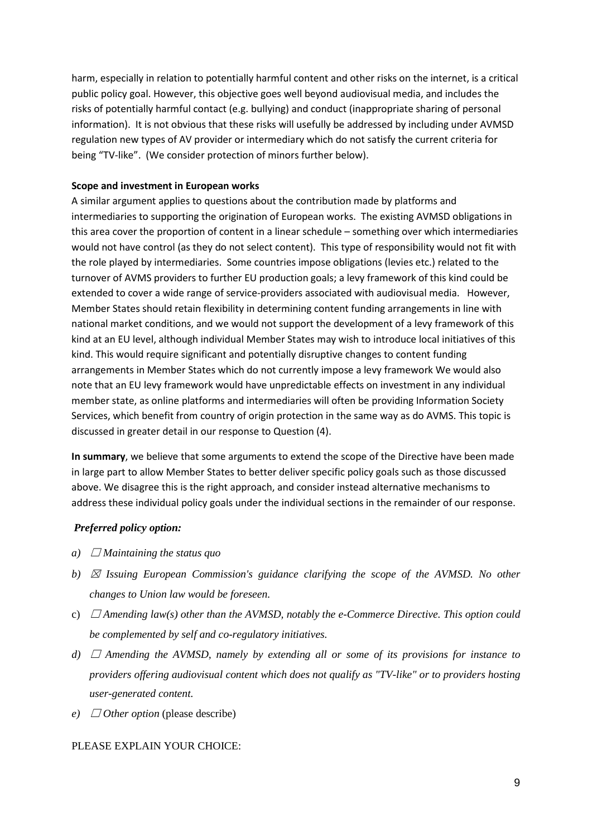harm, especially in relation to potentially harmful content and other risks on the internet, is a critical public policy goal. However, this objective goes well beyond audiovisual media, and includes the risks of potentially harmful contact (e.g. bullying) and conduct (inappropriate sharing of personal information). It is not obvious that these risks will usefully be addressed by including under AVMSD regulation new types of AV provider or intermediary which do not satisfy the current criteria for being "TV-like". (We consider protection of minors further below).

#### **Scope and investment in European works**

A similar argument applies to questions about the contribution made by platforms and intermediaries to supporting the origination of European works. The existing AVMSD obligations in this area cover the proportion of content in a linear schedule – something over which intermediaries would not have control (as they do not select content). This type of responsibility would not fit with the role played by intermediaries. Some countries impose obligations (levies etc.) related to the turnover of AVMS providers to further EU production goals; a levy framework of this kind could be extended to cover a wide range of service-providers associated with audiovisual media. However, Member States should retain flexibility in determining content funding arrangements in line with national market conditions, and we would not support the development of a levy framework of this kind at an EU level, although individual Member States may wish to introduce local initiatives of this kind. This would require significant and potentially disruptive changes to content funding arrangements in Member States which do not currently impose a levy framework We would also note that an EU levy framework would have unpredictable effects on investment in any individual member state, as online platforms and intermediaries will often be providing Information Society Services, which benefit from country of origin protection in the same way as do AVMS. This topic is discussed in greater detail in our response to Question (4).

**In summary**, we believe that some arguments to extend the scope of the Directive have been made in large part to allow Member States to better deliver specific policy goals such as those discussed above. We disagree this is the right approach, and consider instead alternative mechanisms to address these individual policy goals under the individual sections in the remainder of our response.

#### *Preferred policy option:*

- *a*)  $\Box$  *Maintaining the status quo*
- *b*)  $\boxtimes$  *Issuing European Commission's guidance clarifying the scope of the AVMSD. No other changes to Union law would be foreseen.*
- c)  $\Box$  *Amending law(s) other than the AVMSD, notably the e-Commerce Directive. This option could be complemented by self and co-regulatory initiatives.*
- *d)*  $\Box$  *Amending the AVMSD, namely by extending all or some of its provisions for instance to providers offering audiovisual content which does not qualify as "TV-like" or to providers hosting user-generated content.*
- *e*)  $\Box$  *Other option* (please describe)

#### PLEASE EXPLAIN YOUR CHOICE: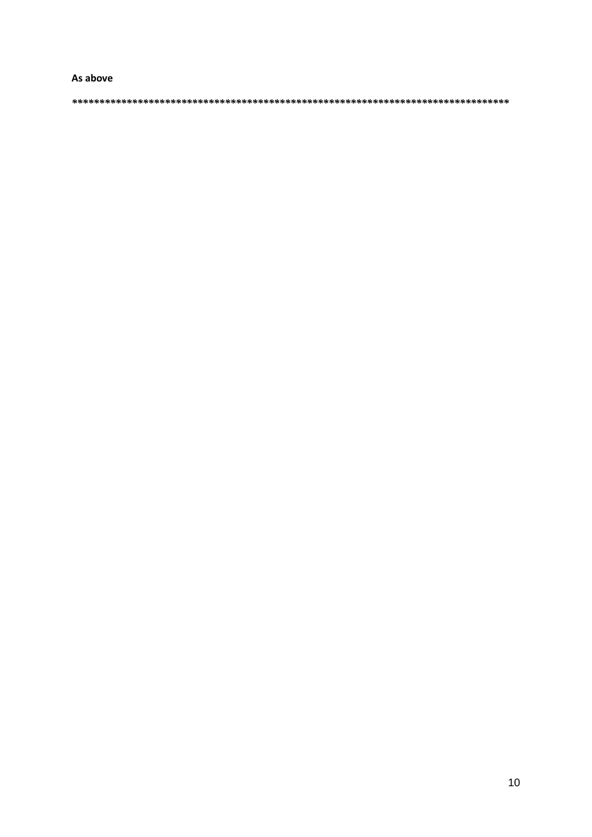#### As above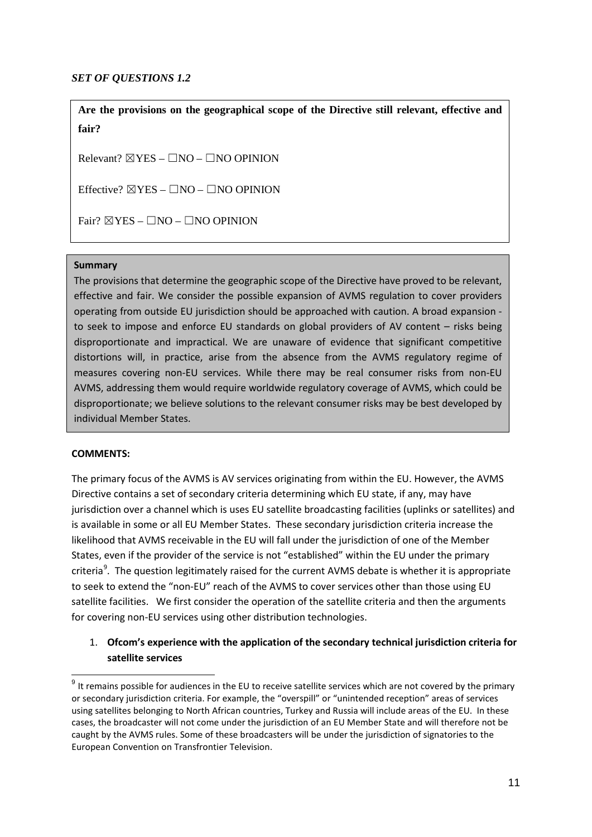### *SET OF QUESTIONS 1.2*

**Are the provisions on the geographical scope of the Directive still relevant, effective and fair?**

Relevant?  $\boxtimes$ YES –  $\Box$ NO –  $\Box$ NO OPINION

Effective?  $\boxtimes$ YES –  $\Box$ NO –  $\Box$ NO OPINION

Fair?  $\boxtimes$ YES –  $\Box$ NO –  $\Box$ NO OPINION

#### **Summary**

The provisions that determine the geographic scope of the Directive have proved to be relevant, effective and fair. We consider the possible expansion of AVMS regulation to cover providers operating from outside EU jurisdiction should be approached with caution. A broad expansion to seek to impose and enforce EU standards on global providers of AV content – risks being disproportionate and impractical. We are unaware of evidence that significant competitive distortions will, in practice, arise from the absence from the AVMS regulatory regime of measures covering non-EU services. While there may be real consumer risks from non-EU AVMS, addressing them would require worldwide regulatory coverage of AVMS, which could be disproportionate; we believe solutions to the relevant consumer risks may be best developed by individual Member States.

#### **COMMENTS:**

 $\overline{a}$ 

The primary focus of the AVMS is AV services originating from within the EU. However, the AVMS Directive contains a set of secondary criteria determining which EU state, if any, may have jurisdiction over a channel which is uses EU satellite broadcasting facilities (uplinks or satellites) and is available in some or all EU Member States. These secondary jurisdiction criteria increase the likelihood that AVMS receivable in the EU will fall under the jurisdiction of one of the Member States, even if the provider of the service is not "established" within the EU under the primary criteria<sup>[9](#page-10-0)</sup>. The question legitimately raised for the current AVMS debate is whether it is appropriate to seek to extend the "non-EU" reach of the AVMS to cover services other than those using EU satellite facilities. We first consider the operation of the satellite criteria and then the arguments for covering non-EU services using other distribution technologies.

# 1. **Ofcom's experience with the application of the secondary technical jurisdiction criteria for satellite services**

<span id="page-10-0"></span> $9$  It remains possible for audiences in the EU to receive satellite services which are not covered by the primary or secondary jurisdiction criteria. For example, the "overspill" or "unintended reception" areas of services using satellites belonging to North African countries, Turkey and Russia will include areas of the EU. In these cases, the broadcaster will not come under the jurisdiction of an EU Member State and will therefore not be caught by the AVMS rules. Some of these broadcasters will be under the jurisdiction of signatories to the European Convention on Transfrontier Television.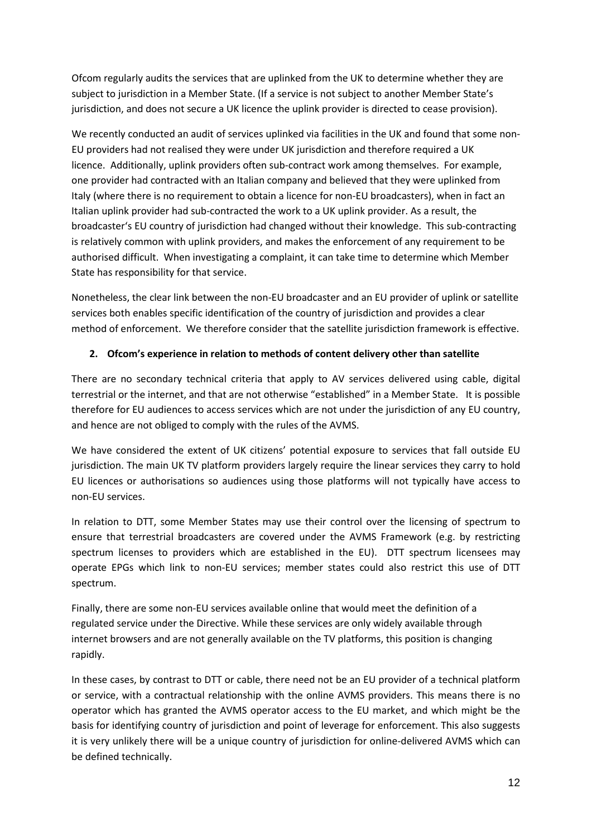Ofcom regularly audits the services that are uplinked from the UK to determine whether they are subject to jurisdiction in a Member State. (If a service is not subject to another Member State's jurisdiction, and does not secure a UK licence the uplink provider is directed to cease provision).

We recently conducted an audit of services uplinked via facilities in the UK and found that some non-EU providers had not realised they were under UK jurisdiction and therefore required a UK licence. Additionally, uplink providers often sub-contract work among themselves. For example, one provider had contracted with an Italian company and believed that they were uplinked from Italy (where there is no requirement to obtain a licence for non-EU broadcasters), when in fact an Italian uplink provider had sub-contracted the work to a UK uplink provider. As a result, the broadcaster's EU country of jurisdiction had changed without their knowledge. This sub-contracting is relatively common with uplink providers, and makes the enforcement of any requirement to be authorised difficult. When investigating a complaint, it can take time to determine which Member State has responsibility for that service.

Nonetheless, the clear link between the non-EU broadcaster and an EU provider of uplink or satellite services both enables specific identification of the country of jurisdiction and provides a clear method of enforcement. We therefore consider that the satellite jurisdiction framework is effective.

# **2. Ofcom's experience in relation to methods of content delivery other than satellite**

There are no secondary technical criteria that apply to AV services delivered using cable, digital terrestrial or the internet, and that are not otherwise "established" in a Member State. It is possible therefore for EU audiences to access services which are not under the jurisdiction of any EU country, and hence are not obliged to comply with the rules of the AVMS.

We have considered the extent of UK citizens' potential exposure to services that fall outside EU jurisdiction. The main UK TV platform providers largely require the linear services they carry to hold EU licences or authorisations so audiences using those platforms will not typically have access to non-EU services.

In relation to DTT, some Member States may use their control over the licensing of spectrum to ensure that terrestrial broadcasters are covered under the AVMS Framework (e.g. by restricting spectrum licenses to providers which are established in the EU). DTT spectrum licensees may operate EPGs which link to non-EU services; member states could also restrict this use of DTT spectrum.

Finally, there are some non-EU services available online that would meet the definition of a regulated service under the Directive. While these services are only widely available through internet browsers and are not generally available on the TV platforms, this position is changing rapidly.

In these cases, by contrast to DTT or cable, there need not be an EU provider of a technical platform or service, with a contractual relationship with the online AVMS providers. This means there is no operator which has granted the AVMS operator access to the EU market, and which might be the basis for identifying country of jurisdiction and point of leverage for enforcement. This also suggests it is very unlikely there will be a unique country of jurisdiction for online-delivered AVMS which can be defined technically.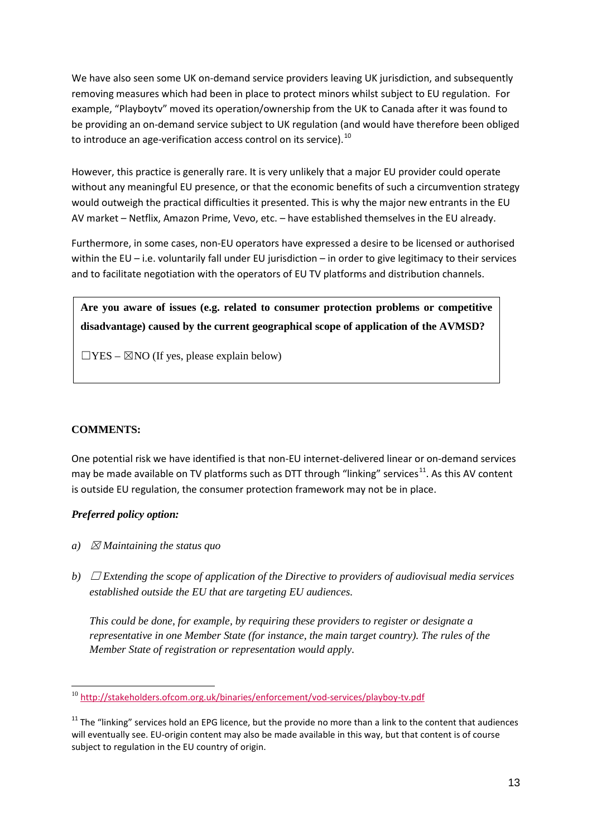We have also seen some UK on-demand service providers leaving UK jurisdiction, and subsequently removing measures which had been in place to protect minors whilst subject to EU regulation. For example, "Playboytv" moved its operation/ownership from the UK to Canada after it was found to be providing an on-demand service subject to UK regulation (and would have therefore been obliged to introduce an age-verification access control on its service).  $^{10}$  $^{10}$  $^{10}$ 

However, this practice is generally rare. It is very unlikely that a major EU provider could operate without any meaningful EU presence, or that the economic benefits of such a circumvention strategy would outweigh the practical difficulties it presented. This is why the major new entrants in the EU AV market – Netflix, Amazon Prime, Vevo, etc. – have established themselves in the EU already.

Furthermore, in some cases, non-EU operators have expressed a desire to be licensed or authorised within the EU – i.e. voluntarily fall under EU jurisdiction – in order to give legitimacy to their services and to facilitate negotiation with the operators of EU TV platforms and distribution channels.

**Are you aware of issues (e.g. related to consumer protection problems or competitive disadvantage) caused by the current geographical scope of application of the AVMSD?**

 $\Box$ YES –  $\boxtimes$ NO (If yes, please explain below)

# **COMMENTS:**

One potential risk we have identified is that non-EU internet-delivered linear or on-demand services may be made available on TV platforms such as DTT through "linking" services<sup>11</sup>. As this AV content is outside EU regulation, the consumer protection framework may not be in place.

### *Preferred policy option:*

- *a*)  $\boxtimes$  *Maintaining the status quo*
- *b*)  $\Box$  *Extending the scope of application of the Directive to providers of audiovisual media services established outside the EU that are targeting EU audiences.*

*This could be done, for example, by requiring these providers to register or designate a representative in one Member State (for instance, the main target country). The rules of the Member State of registration or representation would apply.*

<span id="page-12-0"></span><sup>&</sup>lt;sup>10</sup> <http://stakeholders.ofcom.org.uk/binaries/enforcement/vod-services/playboy-tv.pdf> -

<span id="page-12-1"></span> $11$  The "linking" services hold an EPG licence, but the provide no more than a link to the content that audiences will eventually see. EU-origin content may also be made available in this way, but that content is of course subject to regulation in the EU country of origin.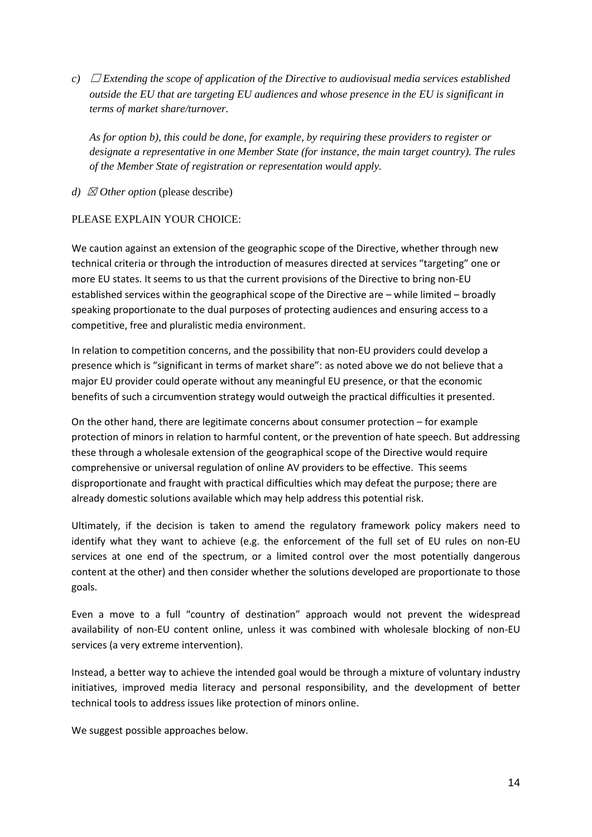*c*)  $\Box$  *Extending the scope of application of the Directive to audiovisual media services established outside the EU that are targeting EU audiences and whose presence in the EU is significant in terms of market share/turnover.*

*As for option b), this could be done, for example, by requiring these providers to register or designate a representative in one Member State (for instance, the main target country). The rules of the Member State of registration or representation would apply.*

*d)*  $\boxtimes$  *Other option* (please describe)

### PLEASE EXPLAIN YOUR CHOICE:

We caution against an extension of the geographic scope of the Directive, whether through new technical criteria or through the introduction of measures directed at services "targeting" one or more EU states. It seems to us that the current provisions of the Directive to bring non-EU established services within the geographical scope of the Directive are – while limited – broadly speaking proportionate to the dual purposes of protecting audiences and ensuring access to a competitive, free and pluralistic media environment.

In relation to competition concerns, and the possibility that non-EU providers could develop a presence which is "significant in terms of market share": as noted above we do not believe that a major EU provider could operate without any meaningful EU presence, or that the economic benefits of such a circumvention strategy would outweigh the practical difficulties it presented.

On the other hand, there are legitimate concerns about consumer protection – for example protection of minors in relation to harmful content, or the prevention of hate speech. But addressing these through a wholesale extension of the geographical scope of the Directive would require comprehensive or universal regulation of online AV providers to be effective. This seems disproportionate and fraught with practical difficulties which may defeat the purpose; there are already domestic solutions available which may help address this potential risk.

Ultimately, if the decision is taken to amend the regulatory framework policy makers need to identify what they want to achieve (e.g. the enforcement of the full set of EU rules on non-EU services at one end of the spectrum, or a limited control over the most potentially dangerous content at the other) and then consider whether the solutions developed are proportionate to those goals.

Even a move to a full "country of destination" approach would not prevent the widespread availability of non-EU content online, unless it was combined with wholesale blocking of non-EU services (a very extreme intervention).

Instead, a better way to achieve the intended goal would be through a mixture of voluntary industry initiatives, improved media literacy and personal responsibility, and the development of better technical tools to address issues like protection of minors online.

We suggest possible approaches below.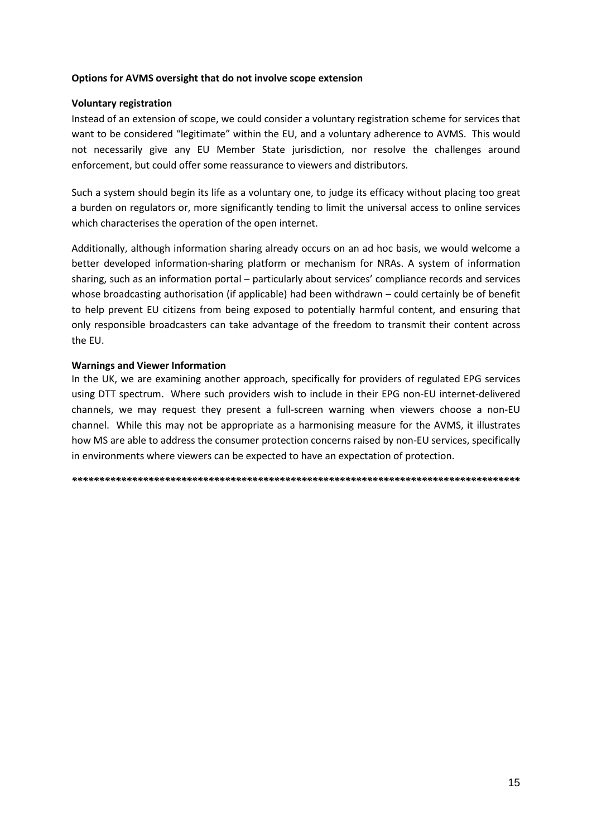#### **Options for AVMS oversight that do not involve scope extension**

### **Voluntary registration**

Instead of an extension of scope, we could consider a voluntary registration scheme for services that want to be considered "legitimate" within the EU, and a voluntary adherence to AVMS. This would not necessarily give any EU Member State jurisdiction, nor resolve the challenges around enforcement, but could offer some reassurance to viewers and distributors.

Such a system should begin its life as a voluntary one, to judge its efficacy without placing too great a burden on regulators or, more significantly tending to limit the universal access to online services which characterises the operation of the open internet.

Additionally, although information sharing already occurs on an ad hoc basis, we would welcome a better developed information-sharing platform or mechanism for NRAs. A system of information sharing, such as an information portal – particularly about services' compliance records and services whose broadcasting authorisation (if applicable) had been withdrawn – could certainly be of benefit to help prevent EU citizens from being exposed to potentially harmful content, and ensuring that only responsible broadcasters can take advantage of the freedom to transmit their content across the EU.

#### **Warnings and Viewer Information**

In the UK, we are examining another approach, specifically for providers of regulated EPG services using DTT spectrum. Where such providers wish to include in their EPG non-EU internet-delivered channels, we may request they present a full-screen warning when viewers choose a non-EU channel. While this may not be appropriate as a harmonising measure for the AVMS, it illustrates how MS are able to address the consumer protection concerns raised by non-EU services, specifically in environments where viewers can be expected to have an expectation of protection.

*\*\*\*\*\*\*\*\*\*\*\*\*\*\*\*\*\*\*\*\*\*\*\*\*\*\*\*\*\*\*\*\*\*\*\*\*\*\*\*\*\*\*\*\*\*\*\*\*\*\*\*\*\*\*\*\*\*\*\*\*\*\*\*\*\*\*\*\*\*\*\*\*\*\*\*\*\*\*\*\*\*\**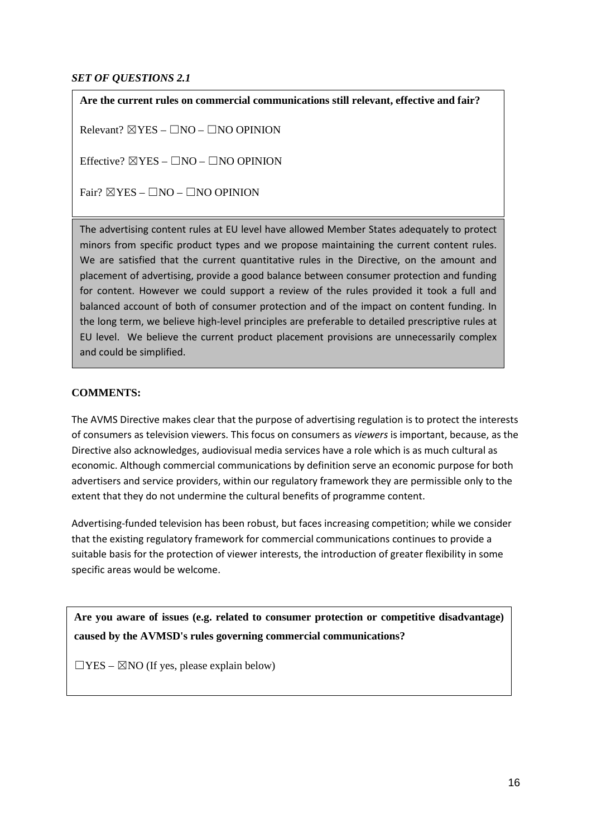### *SET OF QUESTIONS 2.1*

**Are the current rules on commercial communications still relevant, effective and fair?**

Relevant?  $\boxtimes$  YES –  $\Box$ NO –  $\Box$ NO OPINION

Effective?  $\boxtimes$ YES –  $\Box$ NO –  $\Box$ NO OPINION

 $Fair? \ \overline{\boxtimes} \text{YES} - \Box \text{NO} - \Box \text{NO}$  OPINION

The advertising content rules at EU level have allowed Member States adequately to protect minors from specific product types and we propose maintaining the current content rules. We are satisfied that the current quantitative rules in the Directive, on the amount and placement of advertising, provide a good balance between consumer protection and funding for content. However we could support a review of the rules provided it took a full and balanced account of both of consumer protection and of the impact on content funding. In the long term, we believe high-level principles are preferable to detailed prescriptive rules at EU level. We believe the current product placement provisions are unnecessarily complex and could be simplified.

### **COMMENTS:**

The AVMS Directive makes clear that the purpose of advertising regulation is to protect the interests of consumers as television viewers. This focus on consumers as *viewers* is important, because, as the Directive also acknowledges, audiovisual media services have a role which is as much cultural as economic. Although commercial communications by definition serve an economic purpose for both advertisers and service providers, within our regulatory framework they are permissible only to the extent that they do not undermine the cultural benefits of programme content.

Advertising-funded television has been robust, but faces increasing competition; while we consider that the existing regulatory framework for commercial communications continues to provide a suitable basis for the protection of viewer interests, the introduction of greater flexibility in some specific areas would be welcome.

**Are you aware of issues (e.g. related to consumer protection or competitive disadvantage) caused by the AVMSD's rules governing commercial communications?** 

 $\Box$ YES –  $\boxtimes$ NO (If yes, please explain below)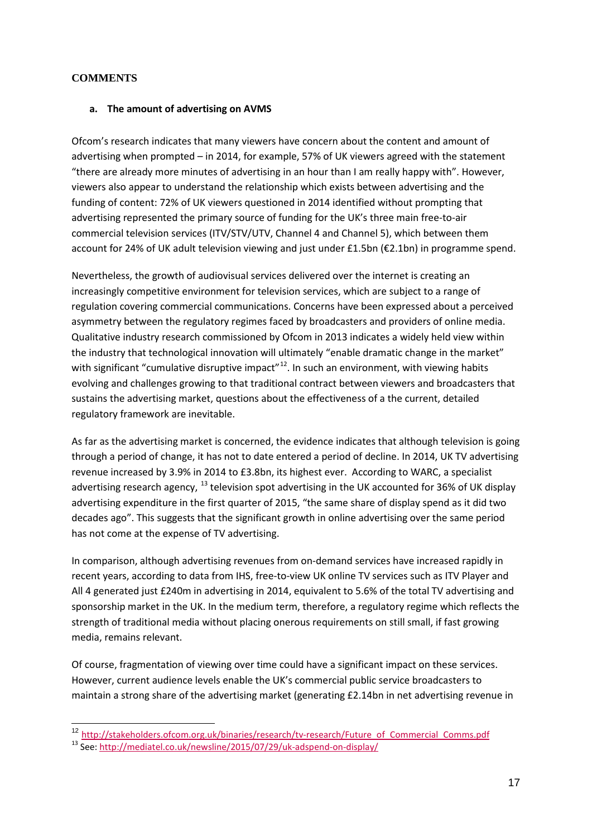### **COMMENTS**

#### **a. The amount of advertising on AVMS**

Ofcom's research indicates that many viewers have concern about the content and amount of advertising when prompted – in 2014, for example, 57% of UK viewers agreed with the statement "there are already more minutes of advertising in an hour than I am really happy with". However, viewers also appear to understand the relationship which exists between advertising and the funding of content: 72% of UK viewers questioned in 2014 identified without prompting that advertising represented the primary source of funding for the UK's three main free-to-air commercial television services (ITV/STV/UTV, Channel 4 and Channel 5), which between them account for 24% of UK adult television viewing and just under £1.5bn (€2.1bn) in programme spend.

Nevertheless, the growth of audiovisual services delivered over the internet is creating an increasingly competitive environment for television services, which are subject to a range of regulation covering commercial communications. Concerns have been expressed about a perceived asymmetry between the regulatory regimes faced by broadcasters and providers of online media. Qualitative industry research commissioned by Ofcom in 2013 indicates a widely held view within the industry that technological innovation will ultimately "enable dramatic change in the market" with significant "cumulative disruptive impact"<sup>12</sup>. In such an environment, with viewing habits evolving and challenges growing to that traditional contract between viewers and broadcasters that sustains the advertising market, questions about the effectiveness of a the current, detailed regulatory framework are inevitable.

As far as the advertising market is concerned, the evidence indicates that although television is going through a period of change, it has not to date entered a period of decline. In 2014, UK TV advertising revenue increased by 3.9% in 2014 to £3.8bn, its highest ever. According to WARC, a specialist advertising research agency,  $^{13}$  $^{13}$  $^{13}$  television spot advertising in the UK accounted for 36% of UK display advertising expenditure in the first quarter of 2015, "the same share of display spend as it did two decades ago". This suggests that the significant growth in online advertising over the same period has not come at the expense of TV advertising.

In comparison, although advertising revenues from on-demand services have increased rapidly in recent years, according to data from IHS, free-to-view UK online TV services such as ITV Player and All 4 generated just £240m in advertising in 2014, equivalent to 5.6% of the total TV advertising and sponsorship market in the UK. In the medium term, therefore, a regulatory regime which reflects the strength of traditional media without placing onerous requirements on still small, if fast growing media, remains relevant.

Of course, fragmentation of viewing over time could have a significant impact on these services. However, current audience levels enable the UK's commercial public service broadcasters to maintain a strong share of the advertising market (generating £2.14bn in net advertising revenue in

<sup>&</sup>lt;sup>12</sup> [http://stakeholders.ofcom.org.uk/binaries/research/tv-research/Future\\_of\\_Commercial\\_Comms.pdf](http://stakeholders.ofcom.org.uk/binaries/research/tv-research/Future_of_Commercial_Comms.pdf) 13 See:<http://mediatel.co.uk/newsline/2015/07/29/uk-adspend-on-display/>  $\overline{1}$ 

<span id="page-16-1"></span><span id="page-16-0"></span>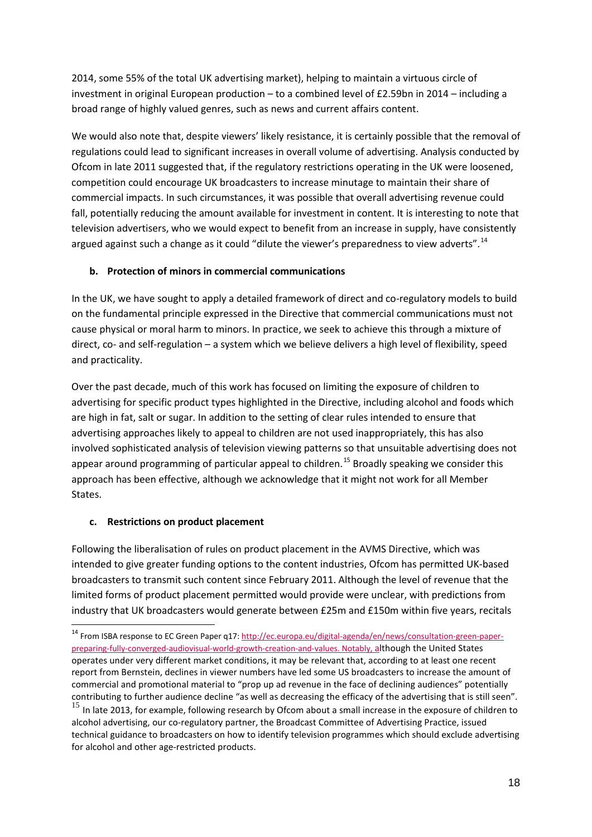2014, some 55% of the total UK advertising market), helping to maintain a virtuous circle of investment in original European production – to a combined level of £2.59bn in 2014 – including a broad range of highly valued genres, such as news and current affairs content.

We would also note that, despite viewers' likely resistance, it is certainly possible that the removal of regulations could lead to significant increases in overall volume of advertising. Analysis conducted by Ofcom in late 2011 suggested that, if the regulatory restrictions operating in the UK were loosened, competition could encourage UK broadcasters to increase minutage to maintain their share of commercial impacts. In such circumstances, it was possible that overall advertising revenue could fall, potentially reducing the amount available for investment in content. It is interesting to note that television advertisers, who we would expect to benefit from an increase in supply, have consistently argued against such a change as it could "dilute the viewer's preparedness to view adverts".<sup>[14](#page-17-0)</sup>

# **b. Protection of minors in commercial communications**

In the UK, we have sought to apply a detailed framework of direct and co-regulatory models to build on the fundamental principle expressed in the Directive that commercial communications must not cause physical or moral harm to minors. In practice, we seek to achieve this through a mixture of direct, co- and self-regulation – a system which we believe delivers a high level of flexibility, speed and practicality.

Over the past decade, much of this work has focused on limiting the exposure of children to advertising for specific product types highlighted in the Directive, including alcohol and foods which are high in fat, salt or sugar. In addition to the setting of clear rules intended to ensure that advertising approaches likely to appeal to children are not used inappropriately, this has also involved sophisticated analysis of television viewing patterns so that unsuitable advertising does not appear around programming of particular appeal to children.<sup>[15](#page-17-1)</sup> Broadly speaking we consider this approach has been effective, although we acknowledge that it might not work for all Member States.

### **c. Restrictions on product placement**

-

Following the liberalisation of rules on product placement in the AVMS Directive, which was intended to give greater funding options to the content industries, Ofcom has permitted UK-based broadcasters to transmit such content since February 2011. Although the level of revenue that the limited forms of product placement permitted would provide were unclear, with predictions from industry that UK broadcasters would generate between £25m and £150m within five years, recitals

<span id="page-17-1"></span><span id="page-17-0"></span><sup>&</sup>lt;sup>14</sup> From ISBA response to EC Green Paper q17: [http://ec.europa.eu/digital-agenda/en/news/consultation-green-paper](http://ec.europa.eu/digital-agenda/en/news/consultation-green-paper-preparing-fully-converged-audiovisual-world-growth-creation-and-values)[preparing-fully-converged-audiovisual-world-growth-creation-and-values.](http://ec.europa.eu/digital-agenda/en/news/consultation-green-paper-preparing-fully-converged-audiovisual-world-growth-creation-and-values) Notably, although the United States operates under very different market conditions, it may be relevant that, according to at least one recent report from Bernstein, declines in viewer numbers have led some US broadcasters to increase the amount of commercial and promotional material to "prop up ad revenue in the face of declining audiences" potentially contributing to further audience decline "as well as decreasing the efficacy of the advertising that is still seen". <sup>15</sup> In late 2013, for example, following research by Ofcom about a small increase in the exposure of children to alcohol advertising, our co-regulatory partner, the Broadcast Committee of Advertising Practice, issued technical guidance to broadcasters on how to identify television programmes which should exclude advertising for alcohol and other age-restricted products.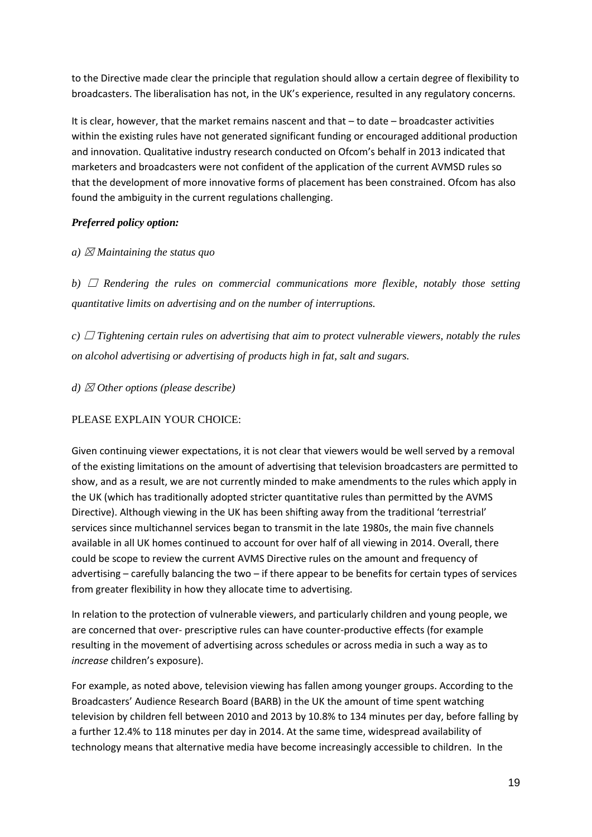to the Directive made clear the principle that regulation should allow a certain degree of flexibility to broadcasters. The liberalisation has not, in the UK's experience, resulted in any regulatory concerns.

It is clear, however, that the market remains nascent and that – to date – broadcaster activities within the existing rules have not generated significant funding or encouraged additional production and innovation. Qualitative industry research conducted on Ofcom's behalf in 2013 indicated that marketers and broadcasters were not confident of the application of the current AVMSD rules so that the development of more innovative forms of placement has been constrained. Ofcom has also found the ambiguity in the current regulations challenging.

# *Preferred policy option:*

*a*)  $\boxtimes$  *Maintaining the status quo* 

*b)*  $\Box$  *Rendering the rules on commercial communications more flexible, notably those setting quantitative limits on advertising and on the number of interruptions.*

*c*) □ *Tightening certain rules on advertising that aim to protect vulnerable viewers, notably the rules on alcohol advertising or advertising of products high in fat, salt and sugars.*

*d)* ☒ *Other options (please describe)*

# PLEASE EXPLAIN YOUR CHOICE:

Given continuing viewer expectations, it is not clear that viewers would be well served by a removal of the existing limitations on the amount of advertising that television broadcasters are permitted to show, and as a result, we are not currently minded to make amendments to the rules which apply in the UK (which has traditionally adopted stricter quantitative rules than permitted by the AVMS Directive). Although viewing in the UK has been shifting away from the traditional 'terrestrial' services since multichannel services began to transmit in the late 1980s, the main five channels available in all UK homes continued to account for over half of all viewing in 2014. Overall, there could be scope to review the current AVMS Directive rules on the amount and frequency of advertising – carefully balancing the two – if there appear to be benefits for certain types of services from greater flexibility in how they allocate time to advertising.

In relation to the protection of vulnerable viewers, and particularly children and young people, we are concerned that over- prescriptive rules can have counter-productive effects (for example resulting in the movement of advertising across schedules or across media in such a way as to *increase* children's exposure).

For example, as noted above, television viewing has fallen among younger groups. According to the Broadcasters' Audience Research Board (BARB) in the UK the amount of time spent watching television by children fell between 2010 and 2013 by 10.8% to 134 minutes per day, before falling by a further 12.4% to 118 minutes per day in 2014. At the same time, widespread availability of technology means that alternative media have become increasingly accessible to children. In the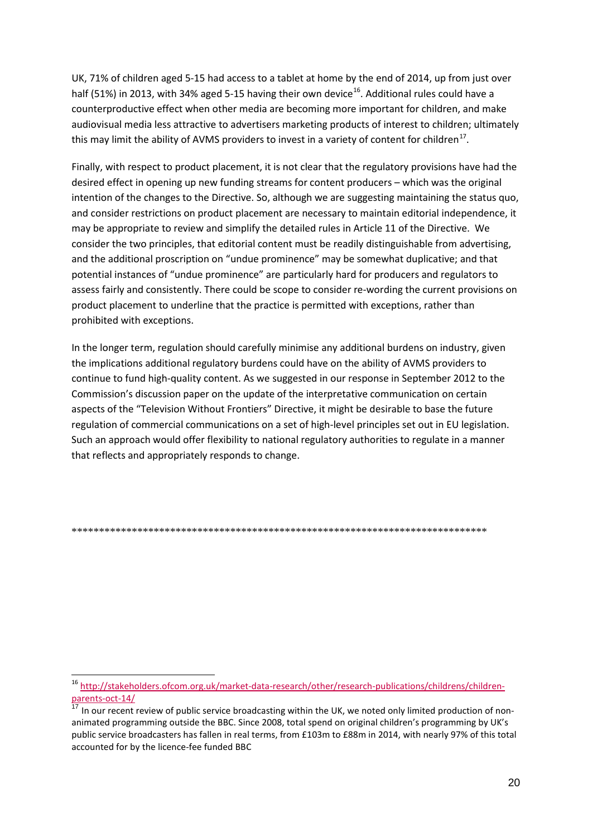UK, 71% of children aged 5-15 had access to a tablet at home by the end of 2014, up from just over half (51%) in 2013, with 34% aged 5-15 having their own device<sup>16</sup>. Additional rules could have a counterproductive effect when other media are becoming more important for children, and make audiovisual media less attractive to advertisers marketing products of interest to children; ultimately this may limit the ability of AVMS providers to invest in a variety of content for children<sup>17</sup>.

Finally, with respect to product placement, it is not clear that the regulatory provisions have had the desired effect in opening up new funding streams for content producers – which was the original intention of the changes to the Directive. So, although we are suggesting maintaining the status quo, and consider restrictions on product placement are necessary to maintain editorial independence, it may be appropriate to review and simplify the detailed rules in Article 11 of the Directive. We consider the two principles, that editorial content must be readily distinguishable from advertising, and the additional proscription on "undue prominence" may be somewhat duplicative; and that potential instances of "undue prominence" are particularly hard for producers and regulators to assess fairly and consistently. There could be scope to consider re-wording the current provisions on product placement to underline that the practice is permitted with exceptions, rather than prohibited with exceptions.

In the longer term, regulation should carefully minimise any additional burdens on industry, given the implications additional regulatory burdens could have on the ability of AVMS providers to continue to fund high-quality content. As we suggested in our response in September 2012 to the Commission's discussion paper on the update of the interpretative communication on certain aspects of the "Television Without Frontiers" Directive, it might be desirable to base the future regulation of commercial communications on a set of high-level principles set out in EU legislation. Such an approach would offer flexibility to national regulatory authorities to regulate in a manner that reflects and appropriately responds to change.

<span id="page-19-0"></span><sup>&</sup>lt;sup>16</sup> http://stakeholders.ofcom.org.uk/market-data-research/other/research-publications/childrens/children-Darents-oct-14/

<span id="page-19-1"></span>In our recent review of public service broadcasting within the UK, we noted only limited production of nonanimated programming outside the BBC. Since 2008, total spend on original children's programming by UK's public service broadcasters has fallen in real terms, from £103m to £88m in 2014, with nearly 97% of this total accounted for by the licence-fee funded BBC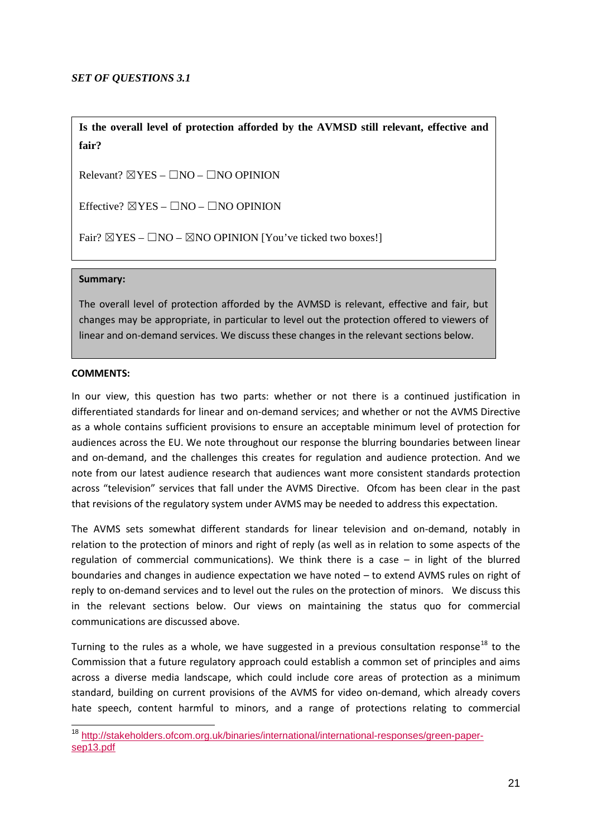**Is the overall level of protection afforded by the AVMSD still relevant, effective and fair?** 

Relevant?  $\boxtimes$  YES –  $\Box$ NO –  $\Box$ NO OPINION

Effective?  $\boxtimes$  YES –  $\Box$ NO –  $\Box$ NO OPINION

Fair?  $\boxtimes$ YES –  $\Box$ NO –  $\boxtimes$ NO OPINION [You've ticked two boxes!]

#### **Summary:**

The overall level of protection afforded by the AVMSD is relevant, effective and fair, but changes may be appropriate, in particular to level out the protection offered to viewers of linear and on-demand services. We discuss these changes in the relevant sections below.

#### **COMMENTS:**

In our view, this question has two parts: whether or not there is a continued justification in differentiated standards for linear and on-demand services; and whether or not the AVMS Directive as a whole contains sufficient provisions to ensure an acceptable minimum level of protection for audiences across the EU. We note throughout our response the blurring boundaries between linear and on-demand, and the challenges this creates for regulation and audience protection. And we note from our latest audience research that audiences want more consistent standards protection across "television" services that fall under the AVMS Directive. Ofcom has been clear in the past that revisions of the regulatory system under AVMS may be needed to address this expectation.

The AVMS sets somewhat different standards for linear television and on-demand, notably in relation to the protection of minors and right of reply (as well as in relation to some aspects of the regulation of commercial communications). We think there is a case – in light of the blurred boundaries and changes in audience expectation we have noted – to extend AVMS rules on right of reply to on-demand services and to level out the rules on the protection of minors. We discuss this in the relevant sections below. Our views on maintaining the status quo for commercial communications are discussed above.

Turning to the rules as a whole, we have suggested in a previous consultation response<sup>[18](#page-20-0)</sup> to the Commission that a future regulatory approach could establish a common set of principles and aims across a diverse media landscape, which could include core areas of protection as a minimum standard, building on current provisions of the AVMS for video on-demand, which already covers hate speech, content harmful to minors, and a range of protections relating to commercial

<span id="page-20-0"></span><sup>&</sup>lt;sup>18</sup> [http://stakeholders.ofcom.org.uk/binaries/international/international-responses/green-paper](http://stakeholders.ofcom.org.uk/binaries/international/international-responses/green-paper-sep13.pdf)[sep13.pdf](http://stakeholders.ofcom.org.uk/binaries/international/international-responses/green-paper-sep13.pdf)  $\overline{a}$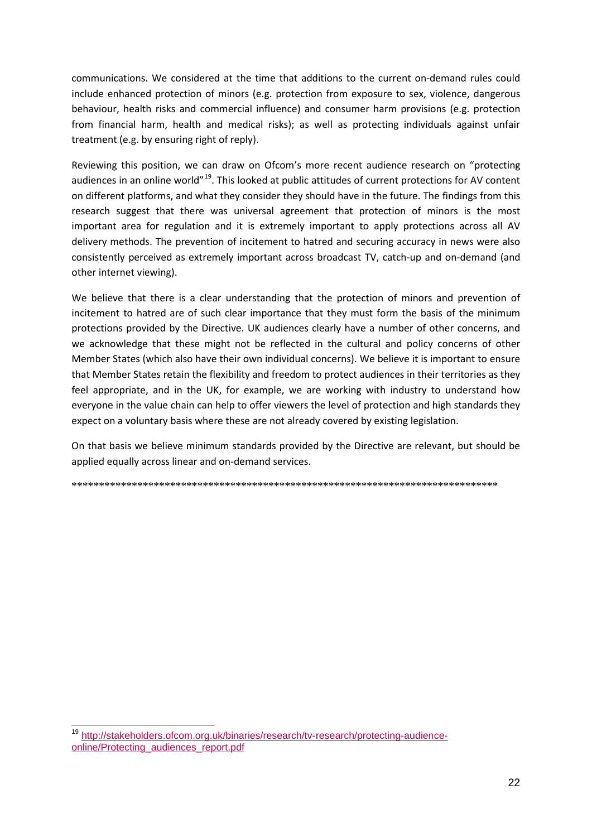communications. We considered at the time that additions to the current on-demand rules could include enhanced protection of minors (e.g. protection from exposure to sex, violence, dangerous behaviour, health risks and commercial influence) and consumer harm provisions (e.g. protection from financial harm, health and medical risks); as well as protecting individuals against unfair treatment (e.g. by ensuring right of reply).

Reviewing this position, we can draw on Ofcom's more recent audience research on "protecting audiences in an online world"<sup>19</sup>. This looked at public attitudes of current protections for AV content on different platforms, and what they consider they should have in the future. The findings from this research suggest that there was universal agreement that protection of minors is the most important area for regulation and it is extremely important to apply protections across all AV delivery methods. The prevention of incitement to hatred and securing accuracy in news were also consistently perceived as extremely important across broadcast TV, catch-up and on-demand (and other internet viewing).

We believe that there is a clear understanding that the protection of minors and prevention of incitement to hatred are of such clear importance that they must form the basis of the minimum protections provided by the Directive. UK audiences clearly have a number of other concerns, and we acknowledge that these might not be reflected in the cultural and policy concerns of other Member States (which also have their own individual concerns). We believe it is important to ensure that Member States retain the flexibility and freedom to protect audiences in their territories as they feel appropriate, and in the UK, for example, we are working with industry to understand how everyone in the value chain can help to offer viewers the level of protection and high standards they expect on a voluntary basis where these are not already covered by existing legislation.

On that basis we believe minimum standards provided by the Directive are relevant, but should be applied equally across linear and on-demand services.

<span id="page-21-0"></span><sup>&</sup>lt;sup>19</sup> http://stakeholders.ofcom.org.uk/binaries/research/tv-research/protecting-audienceonline/Protecting audiences report.pdf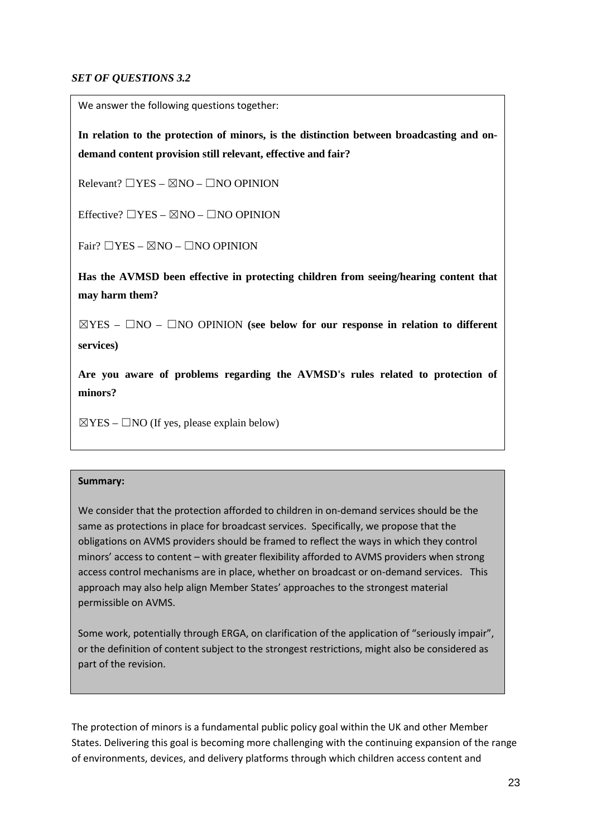### *SET OF QUESTIONS 3.2*

We answer the following questions together:

**In relation to the protection of minors, is the distinction between broadcasting and ondemand content provision still relevant, effective and fair?** 

 $Relevant? \square YES - \boxtimes NO - \square NO$  OPINION

Effective?  $\Box$ YES –  $\boxtimes$ NO –  $\Box$ NO OPINION

Fair?  $\Box$ YES –  $\boxtimes$ NO –  $\Box$ NO OPINION

**Has the AVMSD been effective in protecting children from seeing/hearing content that may harm them?**

☒YES – ☐NO – ☐NO OPINION **(see below for our response in relation to different services)**

**COMMENTS: minors? Are you aware of problems regarding the AVMSD's rules related to protection of** 

 $\boxtimes$ YES –  $\Box$ NO (If yes, please explain below)

### **Summary:**

We consider that the protection afforded to children in on-demand services should be the same as protections in place for broadcast services. Specifically, we propose that the obligations on AVMS providers should be framed to reflect the ways in which they control minors' access to content – with greater flexibility afforded to AVMS providers when strong access control mechanisms are in place, whether on broadcast or on-demand services. This approach may also help align Member States' approaches to the strongest material permissible on AVMS.

Some work, potentially through ERGA, on clarification of the application of "seriously impair", or the definition of content subject to the strongest restrictions, might also be considered as part of the revision.

The protection of minors is a fundamental public policy goal within the UK and other Member States. Delivering this goal is becoming more challenging with the continuing expansion of the range of environments, devices, and delivery platforms through which children access content and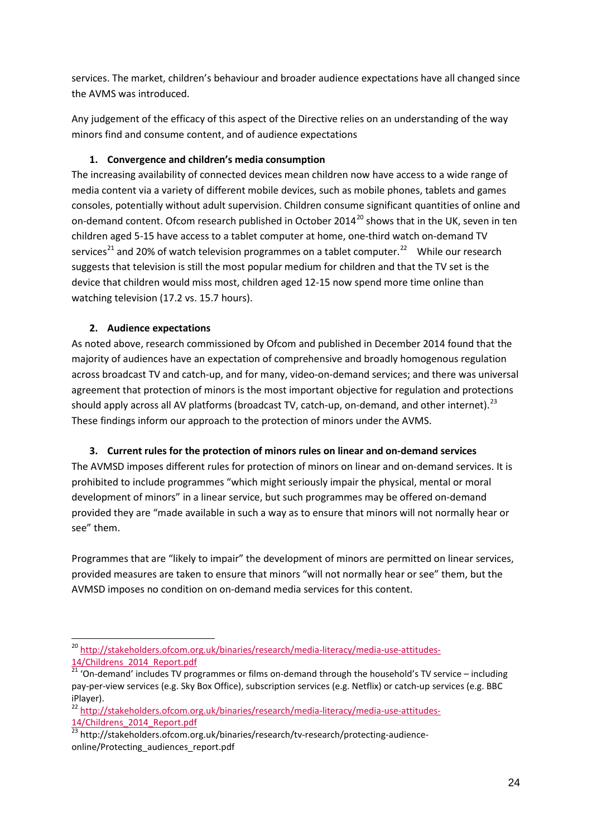services. The market, children's behaviour and broader audience expectations have all changed since the AVMS was introduced.

Any judgement of the efficacy of this aspect of the Directive relies on an understanding of the way minors find and consume content, and of audience expectations

# **1. Convergence and children's media consumption**

The increasing availability of connected devices mean children now have access to a wide range of media content via a variety of different mobile devices, such as mobile phones, tablets and games consoles, potentially without adult supervision. Children consume significant quantities of online and on-demand content. Ofcom research published in October [20](#page-23-0)14<sup>20</sup> shows that in the UK, seven in ten children aged 5-15 have access to a tablet computer at home, one-third watch on-demand TV services<sup>[21](#page-23-1)</sup> and 20% of watch television programmes on a tablet computer.<sup>22</sup> While our research suggests that television is still the most popular medium for children and that the TV set is the device that children would miss most, children aged 12-15 now spend more time online than watching television (17.2 vs. 15.7 hours).

# **2. Audience expectations**

As noted above, research commissioned by Ofcom and published in December 2014 found that the majority of audiences have an expectation of comprehensive and broadly homogenous regulation across broadcast TV and catch-up, and for many, video-on-demand services; and there was universal agreement that protection of minors is the most important objective for regulation and protections should apply across all AV platforms (broadcast TV, catch-up, on-demand, and other internet).<sup>[23](#page-23-3)</sup> These findings inform our approach to the protection of minors under the AVMS.

# **3. Current rules for the protection of minors rules on linear and on-demand services**

The AVMSD imposes different rules for protection of minors on linear and on-demand services. It is prohibited to include programmes "which might seriously impair the physical, mental or moral development of minors" in a linear service, but such programmes may be offered on-demand provided they are "made available in such a way as to ensure that minors will not normally hear or see" them.

Programmes that are "likely to impair" the development of minors are permitted on linear services, provided measures are taken to ensure that minors "will not normally hear or see" them, but the AVMSD imposes no condition on on-demand media services for this content.

<span id="page-23-2"></span><sup>22</sup> [http://stakeholders.ofcom.org.uk/binaries/research/media-literacy/media-use-attitudes-](http://stakeholders.ofcom.org.uk/binaries/research/media-literacy/media-use-attitudes-14/Childrens_2014_Report.pdf)[14/Childrens\\_2014\\_Report.pdf](http://stakeholders.ofcom.org.uk/binaries/research/media-literacy/media-use-attitudes-14/Childrens_2014_Report.pdf)

<span id="page-23-0"></span><sup>&</sup>lt;sup>20</sup> [http://stakeholders.ofcom.org.uk/binaries/research/media-literacy/media-use-attitudes-](http://stakeholders.ofcom.org.uk/binaries/research/media-literacy/media-use-attitudes-14/Childrens_2014_Report.pdf)14/Childrens 2014 Report.pdf -

<span id="page-23-1"></span><sup>&</sup>lt;sup>21</sup> 'On-demand' includes TV programmes or films on-demand through the household's TV service – including pay-per-view services (e.g. Sky Box Office), subscription services (e.g. Netflix) or catch-up services (e.g. BBC iPlayer).

<span id="page-23-3"></span><sup>23</sup> http://stakeholders.ofcom.org.uk/binaries/research/tv-research/protecting-audienceonline/Protecting\_audiences\_report.pdf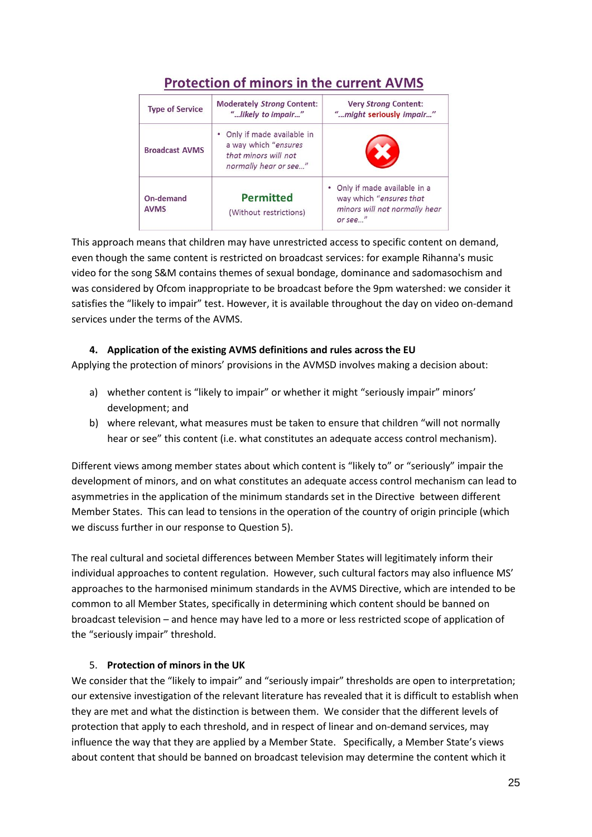| <b>Type of Service</b>                                                 | <b>Moderately Strong Content:</b><br>"likely to impair"                                              | <b>Very Strong Content:</b><br>"might seriously impair"                                             |  |
|------------------------------------------------------------------------|------------------------------------------------------------------------------------------------------|-----------------------------------------------------------------------------------------------------|--|
| <b>Broadcast AVMS</b>                                                  | • Only if made available in<br>a way which "ensures<br>that minors will not<br>normally hear or see" |                                                                                                     |  |
| <b>Permitted</b><br>On-demand<br><b>AVMS</b><br>(Without restrictions) |                                                                                                      | Only if made available in a<br>way which "ensures that<br>minors will not normally hear<br>or see." |  |

# **Protection of minors in the current AVMS**

This approach means that children may have unrestricted access to specific content on demand, even though the same content is restricted on broadcast services: for example Rihanna's music video for the song S&M contains themes of sexual bondage, dominance and sadomasochism and was considered by Ofcom inappropriate to be broadcast before the 9pm watershed: we consider it satisfies the "likely to impair" test. However, it is available throughout the day on video on-demand services under the terms of the AVMS.

# **4. Application of the existing AVMS definitions and rules across the EU**

Applying the protection of minors' provisions in the AVMSD involves making a decision about:

- a) whether content is "likely to impair" or whether it might "seriously impair" minors' development; and
- b) where relevant, what measures must be taken to ensure that children "will not normally hear or see" this content (i.e. what constitutes an adequate access control mechanism).

Different views among member states about which content is "likely to" or "seriously" impair the development of minors, and on what constitutes an adequate access control mechanism can lead to asymmetries in the application of the minimum standards set in the Directive between different Member States. This can lead to tensions in the operation of the country of origin principle (which we discuss further in our response to Question 5).

The real cultural and societal differences between Member States will legitimately inform their individual approaches to content regulation. However, such cultural factors may also influence MS' approaches to the harmonised minimum standards in the AVMS Directive, which are intended to be common to all Member States, specifically in determining which content should be banned on broadcast television – and hence may have led to a more or less restricted scope of application of the "seriously impair" threshold.

### 5. **Protection of minors in the UK**

We consider that the "likely to impair" and "seriously impair" thresholds are open to interpretation; our extensive investigation of the relevant literature has revealed that it is difficult to establish when they are met and what the distinction is between them. We consider that the different levels of protection that apply to each threshold, and in respect of linear and on-demand services, may influence the way that they are applied by a Member State. Specifically, a Member State's views about content that should be banned on broadcast television may determine the content which it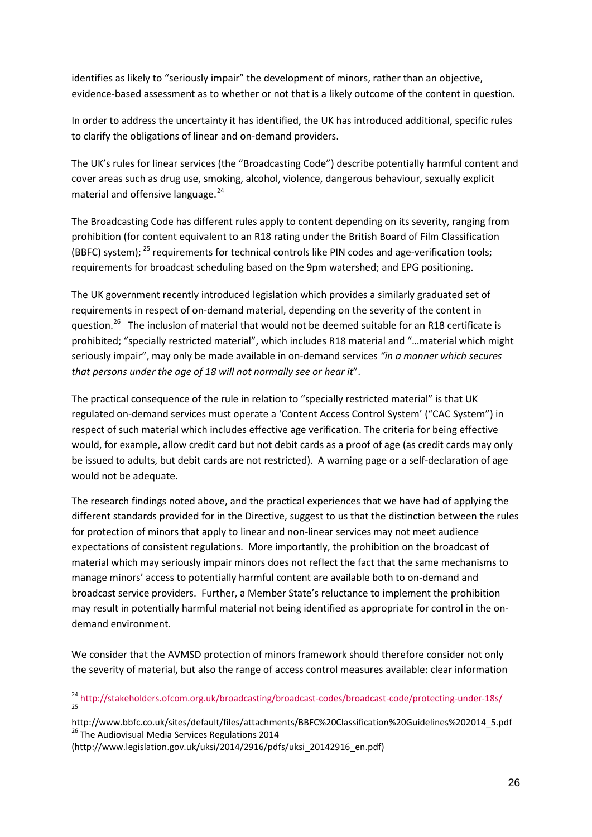identifies as likely to "seriously impair" the development of minors, rather than an objective, evidence-based assessment as to whether or not that is a likely outcome of the content in question.

In order to address the uncertainty it has identified, the UK has introduced additional, specific rules to clarify the obligations of linear and on-demand providers.

The UK's rules for linear services (the "Broadcasting Code") describe potentially harmful content and cover areas such as drug use, smoking, alcohol, violence, dangerous behaviour, sexually explicit material and offensive language. [24](#page-25-0)

The Broadcasting Code has different rules apply to content depending on its severity, ranging from prohibition (for content equivalent to an R18 rating under the British Board of Film Classification (BBFC) system); <sup>[25](#page-25-1)</sup> requirements for technical controls like PIN codes and age-verification tools; requirements for broadcast scheduling based on the 9pm watershed; and EPG positioning.

The UK government recently introduced legislation which provides a similarly graduated set of requirements in respect of on-demand material, depending on the severity of the content in question.<sup>[26](#page-25-2)</sup> The inclusion of material that would not be deemed suitable for an R18 certificate is prohibited; "specially restricted material", which includes R18 material and "…material which might seriously impair", may only be made available in on-demand services *"in a manner which secures that persons under the age of 18 will not normally see or hear it*".

The practical consequence of the rule in relation to "specially restricted material" is that UK regulated on-demand services must operate a 'Content Access Control System' ("CAC System") in respect of such material which includes effective age verification. The criteria for being effective would, for example, allow credit card but not debit cards as a proof of age (as credit cards may only be issued to adults, but debit cards are not restricted). A warning page or a self-declaration of age would not be adequate.

The research findings noted above, and the practical experiences that we have had of applying the different standards provided for in the Directive, suggest to us that the distinction between the rules for protection of minors that apply to linear and non-linear services may not meet audience expectations of consistent regulations. More importantly, the prohibition on the broadcast of material which may seriously impair minors does not reflect the fact that the same mechanisms to manage minors' access to potentially harmful content are available both to on-demand and broadcast service providers. Further, a Member State's reluctance to implement the prohibition may result in potentially harmful material not being identified as appropriate for control in the ondemand environment.

We consider that the AVMSD protection of minors framework should therefore consider not only the severity of material, but also the range of access control measures available: clear information

<span id="page-25-0"></span><sup>&</sup>lt;sup>24</sup> <http://stakeholders.ofcom.org.uk/broadcasting/broadcast-codes/broadcast-code/protecting-under-18s/><br><sup>25</sup> -

<span id="page-25-2"></span><span id="page-25-1"></span>http://www.bbfc.co.uk/sites/default/files/attachments/BBFC%20Classification%20Guidelines%202014\_5.pdf<br><sup>26</sup> The Audiovisual Media Services Regulations 2014

<sup>(</sup>http://www.legislation.gov.uk/uksi/2014/2916/pdfs/uksi\_20142916\_en.pdf)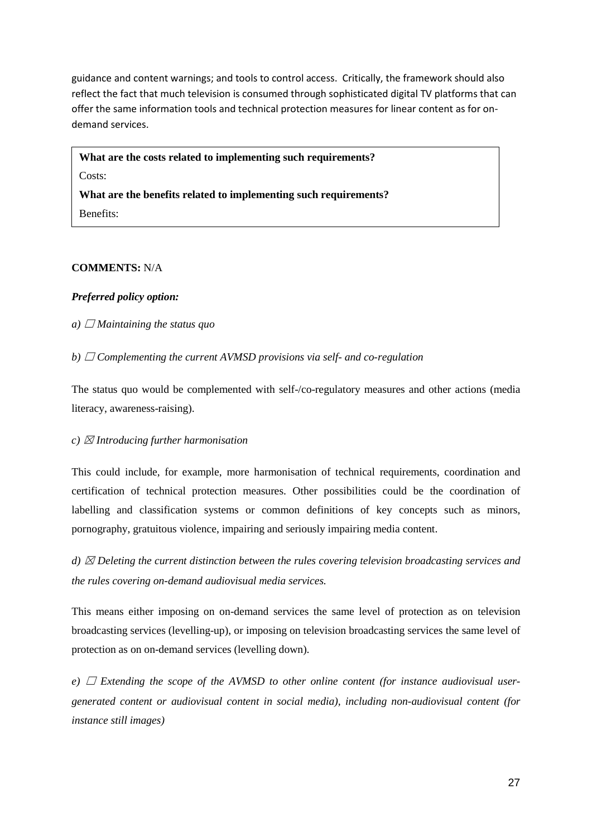guidance and content warnings; and tools to control access. Critically, the framework should also reflect the fact that much television is consumed through sophisticated digital TV platforms that can offer the same information tools and technical protection measures for linear content as for ondemand services.

**What are the costs related to implementing such requirements?** Costs: **What are the benefits related to implementing such requirements?** Benefits:

#### **COMMENTS:** N/A

### *Preferred policy option:*

### *a*)  $\Box$  *Maintaining the status quo*

*b)* ☐ *Complementing the current AVMSD provisions via self- and co-regulation*

The status quo would be complemented with self-/co-regulatory measures and other actions (media literacy, awareness-raising).

#### *c)* ☒ *Introducing further harmonisation*

This could include, for example, more harmonisation of technical requirements, coordination and certification of technical protection measures. Other possibilities could be the coordination of labelling and classification systems or common definitions of key concepts such as minors, pornography, gratuitous violence, impairing and seriously impairing media content.

*d)* ☒ *Deleting the current distinction between the rules covering television broadcasting services and the rules covering on-demand audiovisual media services.*

This means either imposing on on-demand services the same level of protection as on television broadcasting services (levelling-up), or imposing on television broadcasting services the same level of protection as on on-demand services (levelling down).

*e*)  $\Box$  *Extending the scope of the AVMSD to other online content (for instance audiovisual usergenerated content or audiovisual content in social media), including non-audiovisual content (for instance still images)*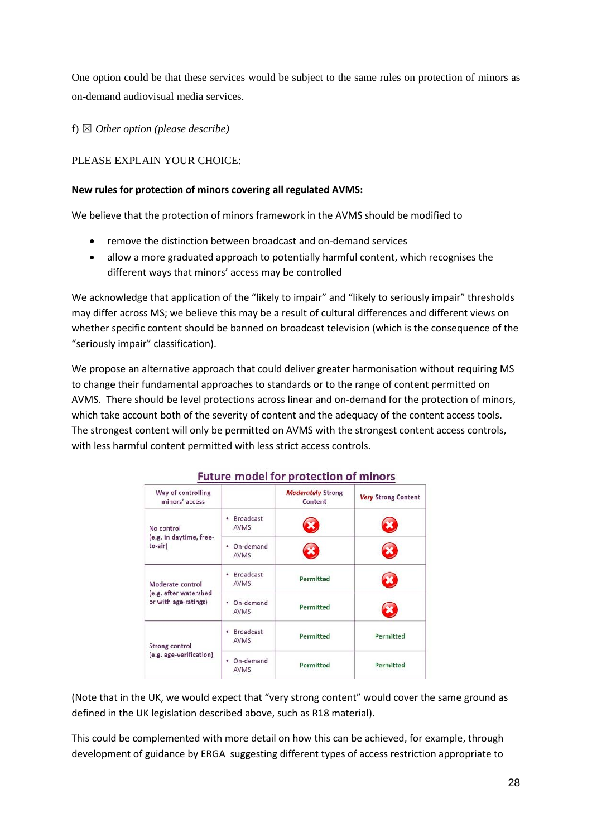One option could be that these services would be subject to the same rules on protection of minors as on-demand audiovisual media services.

f) ☒ *Other option (please describe)*

# PLEASE EXPLAIN YOUR CHOICE:

### **New rules for protection of minors covering all regulated AVMS:**

We believe that the protection of minors framework in the AVMS should be modified to

- remove the distinction between broadcast and on-demand services
- allow a more graduated approach to potentially harmful content, which recognises the different ways that minors' access may be controlled

We acknowledge that application of the "likely to impair" and "likely to seriously impair" thresholds may differ across MS; we believe this may be a result of cultural differences and different views on whether specific content should be banned on broadcast television (which is the consequence of the "seriously impair" classification).

We propose an alternative approach that could deliver greater harmonisation without requiring MS to change their fundamental approaches to standards or to the range of content permitted on AVMS. There should be level protections across linear and on-demand for the protection of minors, which take account both of the severity of content and the adequacy of the content access tools. The strongest content will only be permitted on AVMS with the strongest content access controls, with less harmful content permitted with less strict access controls.

| Way of controlling<br>minors' access                              |                                      | <b>Moderately Strong</b><br>Content | <b>Very Strong Content</b> |
|-------------------------------------------------------------------|--------------------------------------|-------------------------------------|----------------------------|
| No control<br>(e.g. in daytime, free-<br>to-air)                  | <b>Broadcast</b><br>٠<br>AVMS        |                                     |                            |
|                                                                   | On-demand<br>٠<br><b>AVMS</b>        |                                     |                            |
| Moderate control<br>(e.g. after watershed<br>or with age-ratings) | <b>Broadcast</b><br>٠<br><b>AVMS</b> | Permitted                           |                            |
|                                                                   | On-demand<br>٠<br>AVMS               | Permitted                           |                            |
| <b>Strong control</b><br>(e.g. age-verification)                  | <b>Broadcast</b><br>٠<br><b>AVMS</b> | Permitted                           | Permitted                  |
|                                                                   | On-demand<br>٠<br>AVMS               | Permitted                           | Permitted                  |

# Future model for protection of minors

(Note that in the UK, we would expect that "very strong content" would cover the same ground as defined in the UK legislation described above, such as R18 material).

This could be complemented with more detail on how this can be achieved, for example, through development of guidance by ERGA suggesting different types of access restriction appropriate to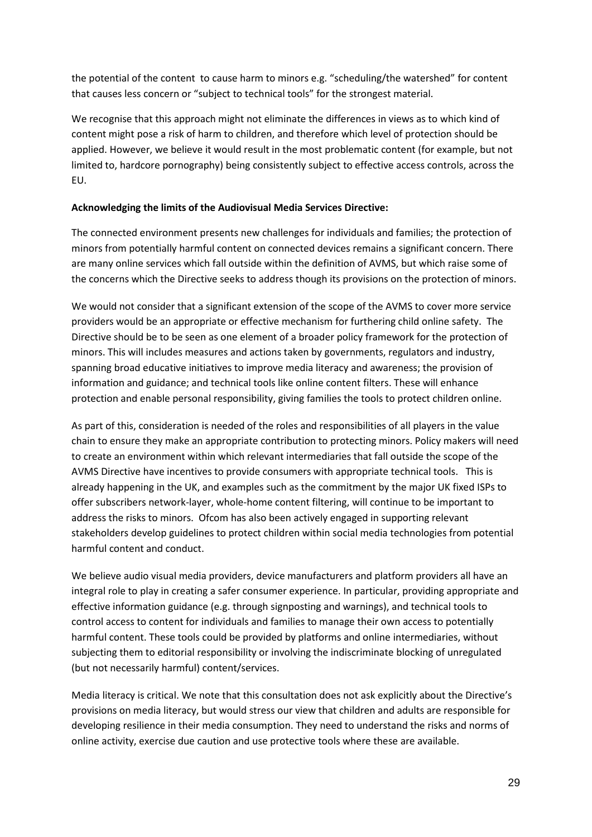the potential of the content to cause harm to minors e.g. "scheduling/the watershed" for content that causes less concern or "subject to technical tools" for the strongest material.

We recognise that this approach might not eliminate the differences in views as to which kind of content might pose a risk of harm to children, and therefore which level of protection should be applied. However, we believe it would result in the most problematic content (for example, but not limited to, hardcore pornography) being consistently subject to effective access controls, across the EU.

### **Acknowledging the limits of the Audiovisual Media Services Directive:**

The connected environment presents new challenges for individuals and families; the protection of minors from potentially harmful content on connected devices remains a significant concern. There are many online services which fall outside within the definition of AVMS, but which raise some of the concerns which the Directive seeks to address though its provisions on the protection of minors.

We would not consider that a significant extension of the scope of the AVMS to cover more service providers would be an appropriate or effective mechanism for furthering child online safety. The Directive should be to be seen as one element of a broader policy framework for the protection of minors. This will includes measures and actions taken by governments, regulators and industry, spanning broad educative initiatives to improve media literacy and awareness; the provision of information and guidance; and technical tools like online content filters. These will enhance protection and enable personal responsibility, giving families the tools to protect children online.

As part of this, consideration is needed of the roles and responsibilities of all players in the value chain to ensure they make an appropriate contribution to protecting minors. Policy makers will need to create an environment within which relevant intermediaries that fall outside the scope of the AVMS Directive have incentives to provide consumers with appropriate technical tools. This is already happening in the UK, and examples such as the commitment by the major UK fixed ISPs to offer subscribers network-layer, whole-home content filtering, will continue to be important to address the risks to minors. Ofcom has also been actively engaged in supporting relevant stakeholders develop guidelines to protect children within social media technologies from potential harmful content and conduct.

We believe audio visual media providers, device manufacturers and platform providers all have an integral role to play in creating a safer consumer experience. In particular, providing appropriate and effective information guidance (e.g. through signposting and warnings), and technical tools to control access to content for individuals and families to manage their own access to potentially harmful content. These tools could be provided by platforms and online intermediaries, without subjecting them to editorial responsibility or involving the indiscriminate blocking of unregulated (but not necessarily harmful) content/services.

Media literacy is critical. We note that this consultation does not ask explicitly about the Directive's provisions on media literacy, but would stress our view that children and adults are responsible for developing resilience in their media consumption. They need to understand the risks and norms of online activity, exercise due caution and use protective tools where these are available.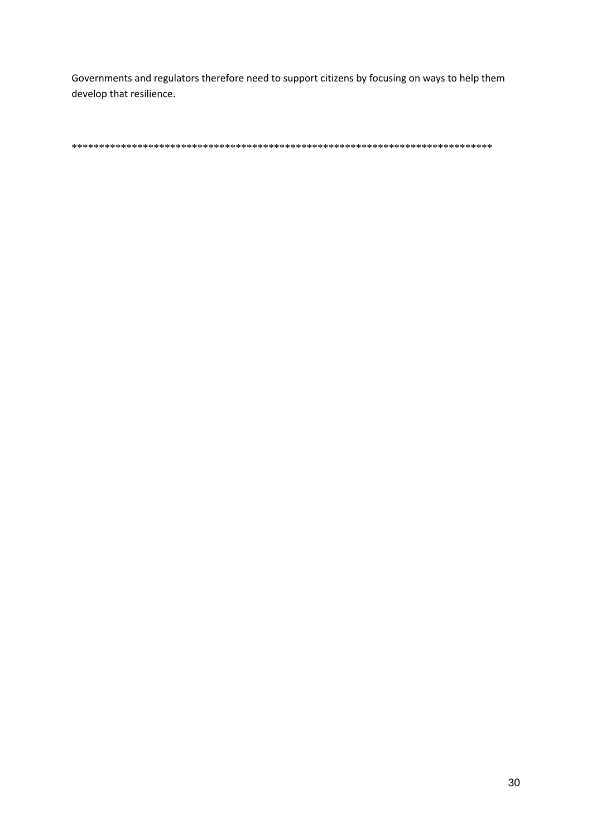Governments and regulators therefore need to support citizens by focusing on ways to help them develop that resilience.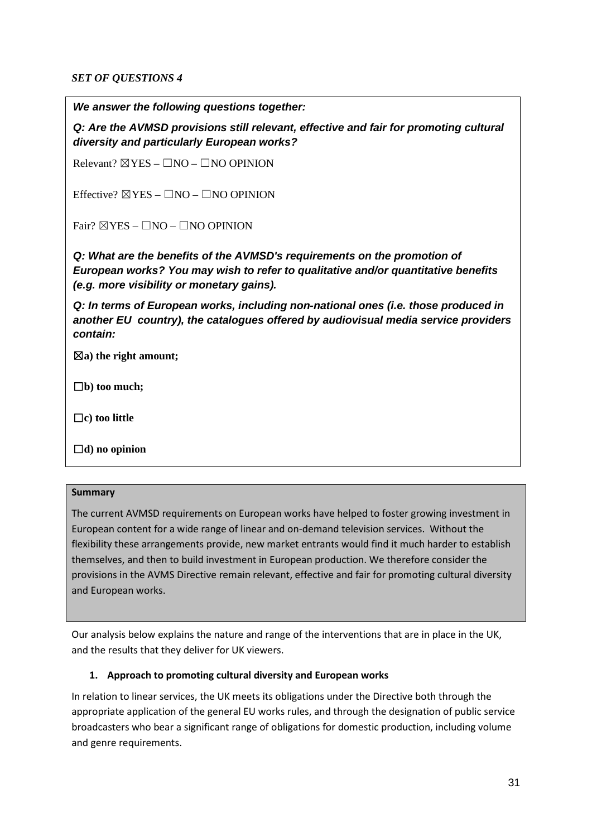### *SET OF QUESTIONS 4*

*We answer the following questions together:*

*Q: Are the AVMSD provisions still relevant, effective and fair for promoting cultural diversity and particularly European works?*

Relevant?  $\boxtimes$ YES –  $\Box$ NO –  $\Box$ NO OPINION

Effective?  $\boxtimes$ YES –  $\Box$ NO –  $\Box$ NO OPINION

Fair?  $\boxtimes$ YES –  $\Box$ NO –  $\Box$ NO OPINION

*Q: What are the benefits of the AVMSD's requirements on the promotion of European works? You may wish to refer to qualitative and/or quantitative benefits (e.g. more visibility or monetary gains).*

*Q: In terms of European works, including non-national ones (i.e. those produced in another EU country), the catalogues offered by audiovisual media service providers contain:*

☒**a) the right amount;**

☐**b) too much;**

☐**c) too little**

☐**d) no opinion**

#### **Summary**

The current AVMSD requirements on European works have helped to foster growing investment in European content for a wide range of linear and on-demand television services. Without the flexibility these arrangements provide, new market entrants would find it much harder to establish themselves, and then to build investment in European production. We therefore consider the provisions in the AVMS Directive remain relevant, effective and fair for promoting cultural diversity and European works.

Our analysis below explains the nature and range of the interventions that are in place in the UK, and the results that they deliver for UK viewers.

### **1. Approach to promoting cultural diversity and European works**

In relation to linear services, the UK meets its obligations under the Directive both through the appropriate application of the general EU works rules, and through the designation of public service broadcasters who bear a significant range of obligations for domestic production, including volume and genre requirements.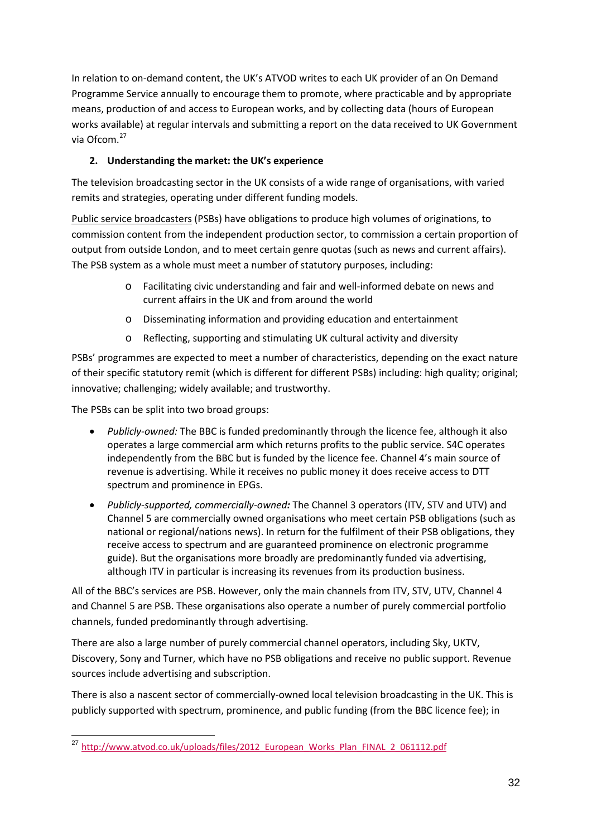In relation to on-demand content, the UK's ATVOD writes to each UK provider of an On Demand Programme Service annually to encourage them to promote, where practicable and by appropriate means, production of and access to European works, and by collecting data (hours of European works available) at regular intervals and submitting a report on the data received to UK Government via Ofcom.[27](#page-31-0)

# **2. Understanding the market: the UK's experience**

The television broadcasting sector in the UK consists of a wide range of organisations, with varied remits and strategies, operating under different funding models.

Public service broadcasters (PSBs) have obligations to produce high volumes of originations, to commission content from the independent production sector, to commission a certain proportion of output from outside London, and to meet certain genre quotas (such as news and current affairs). The PSB system as a whole must meet a number of statutory purposes, including:

- o Facilitating civic understanding and fair and well-informed debate on news and current affairs in the UK and from around the world
- o Disseminating information and providing education and entertainment
- o Reflecting, supporting and stimulating UK cultural activity and diversity

PSBs' programmes are expected to meet a number of characteristics, depending on the exact nature of their specific statutory remit (which is different for different PSBs) including: high quality; original; innovative; challenging; widely available; and trustworthy.

The PSBs can be split into two broad groups:

- *Publicly-owned:* The BBC is funded predominantly through the licence fee, although it also operates a large commercial arm which returns profits to the public service. S4C operates independently from the BBC but is funded by the licence fee. Channel 4's main source of revenue is advertising. While it receives no public money it does receive access to DTT spectrum and prominence in EPGs.
- *Publicly-supported, commercially-owned:* The Channel 3 operators (ITV, STV and UTV) and Channel 5 are commercially owned organisations who meet certain PSB obligations (such as national or regional/nations news). In return for the fulfilment of their PSB obligations, they receive access to spectrum and are guaranteed prominence on electronic programme guide). But the organisations more broadly are predominantly funded via advertising, although ITV in particular is increasing its revenues from its production business.

All of the BBC's services are PSB. However, only the main channels from ITV, STV, UTV, Channel 4 and Channel 5 are PSB. These organisations also operate a number of purely commercial portfolio channels, funded predominantly through advertising.

There are also a large number of purely commercial channel operators, including Sky, UKTV, Discovery, Sony and Turner, which have no PSB obligations and receive no public support. Revenue sources include advertising and subscription.

There is also a nascent sector of commercially-owned local television broadcasting in the UK. This is publicly supported with spectrum, prominence, and public funding (from the BBC licence fee); in

<span id="page-31-0"></span><sup>&</sup>lt;sup>27</sup> http://www.atvod.co.uk/uploads/files/2012 European Works Plan FINAL 2 061112.pdf  $\overline{a}$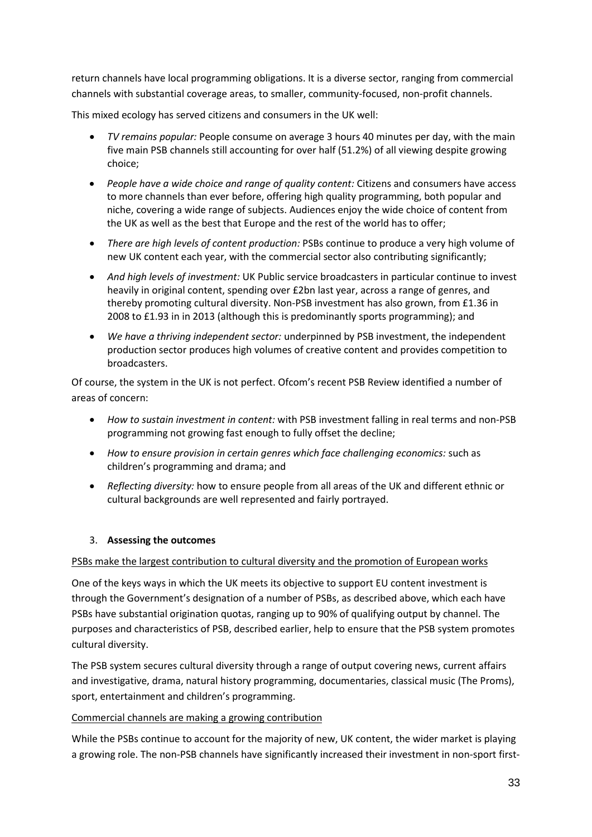return channels have local programming obligations. It is a diverse sector, ranging from commercial channels with substantial coverage areas, to smaller, community-focused, non-profit channels.

This mixed ecology has served citizens and consumers in the UK well:

- *TV remains popular:* People consume on average 3 hours 40 minutes per day, with the main five main PSB channels still accounting for over half (51.2%) of all viewing despite growing choice;
- *People have a wide choice and range of quality content:* Citizens and consumers have access to more channels than ever before, offering high quality programming, both popular and niche, covering a wide range of subjects. Audiences enjoy the wide choice of content from the UK as well as the best that Europe and the rest of the world has to offer;
- *There are high levels of content production:* PSBs continue to produce a very high volume of new UK content each year, with the commercial sector also contributing significantly;
- *And high levels of investment:* UK Public service broadcasters in particular continue to invest heavily in original content, spending over £2bn last year, across a range of genres, and thereby promoting cultural diversity. Non-PSB investment has also grown, from £1.36 in 2008 to £1.93 in in 2013 (although this is predominantly sports programming); and
- *We have a thriving independent sector:* underpinned by PSB investment, the independent production sector produces high volumes of creative content and provides competition to broadcasters.

Of course, the system in the UK is not perfect. Ofcom's recent PSB Review identified a number of areas of concern:

- *How to sustain investment in content:* with PSB investment falling in real terms and non-PSB programming not growing fast enough to fully offset the decline;
- *How to ensure provision in certain genres which face challenging economics:* such as children's programming and drama; and
- *Reflecting diversity:* how to ensure people from all areas of the UK and different ethnic or cultural backgrounds are well represented and fairly portrayed.

### 3. **Assessing the outcomes**

### PSBs make the largest contribution to cultural diversity and the promotion of European works

One of the keys ways in which the UK meets its objective to support EU content investment is through the Government's designation of a number of PSBs, as described above, which each have PSBs have substantial origination quotas, ranging up to 90% of qualifying output by channel. The purposes and characteristics of PSB, described earlier, help to ensure that the PSB system promotes cultural diversity.

The PSB system secures cultural diversity through a range of output covering news, current affairs and investigative, drama, natural history programming, documentaries, classical music (The Proms), sport, entertainment and children's programming.

### Commercial channels are making a growing contribution

While the PSBs continue to account for the majority of new, UK content, the wider market is playing a growing role. The non-PSB channels have significantly increased their investment in non-sport first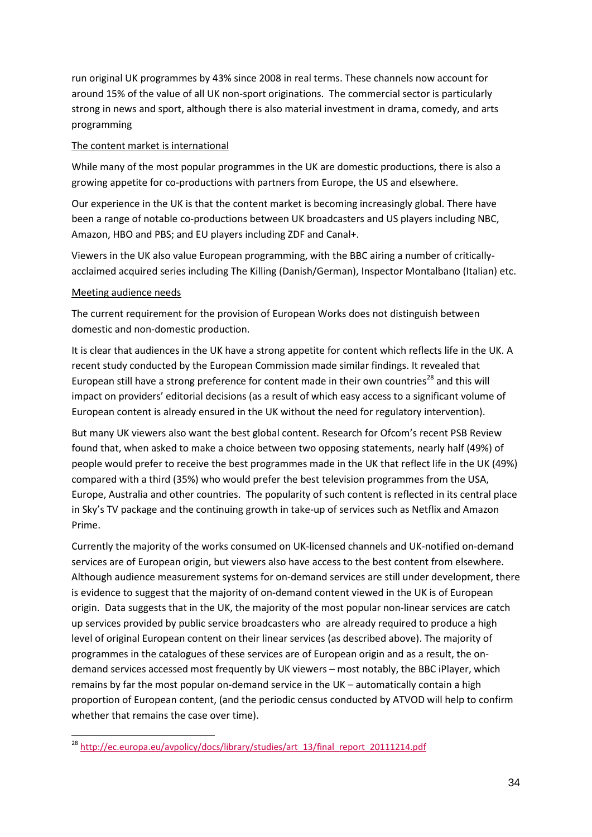run original UK programmes by 43% since 2008 in real terms. These channels now account for around 15% of the value of all UK non-sport originations. The commercial sector is particularly strong in news and sport, although there is also material investment in drama, comedy, and arts programming

### The content market is international

While many of the most popular programmes in the UK are domestic productions, there is also a growing appetite for co-productions with partners from Europe, the US and elsewhere.

Our experience in the UK is that the content market is becoming increasingly global. There have been a range of notable co-productions between UK broadcasters and US players including NBC, Amazon, HBO and PBS; and EU players including ZDF and Canal+.

Viewers in the UK also value European programming, with the BBC airing a number of criticallyacclaimed acquired series including The Killing (Danish/German), Inspector Montalbano (Italian) etc.

### Meeting audience needs

The current requirement for the provision of European Works does not distinguish between domestic and non-domestic production.

It is clear that audiences in the UK have a strong appetite for content which reflects life in the UK. A recent study conducted by the European Commission made similar findings. It revealed that European still have a strong preference for content made in their own countries<sup>[28](#page-33-0)</sup> and this will impact on providers' editorial decisions (as a result of which easy access to a significant volume of European content is already ensured in the UK without the need for regulatory intervention).

But many UK viewers also want the best global content. Research for Ofcom's recent PSB Review found that, when asked to make a choice between two opposing statements, nearly half (49%) of people would prefer to receive the best programmes made in the UK that reflect life in the UK (49%) compared with a third (35%) who would prefer the best television programmes from the USA, Europe, Australia and other countries. The popularity of such content is reflected in its central place in Sky's TV package and the continuing growth in take-up of services such as Netflix and Amazon Prime.

Currently the majority of the works consumed on UK-licensed channels and UK-notified on-demand services are of European origin, but viewers also have access to the best content from elsewhere. Although audience measurement systems for on-demand services are still under development, there is evidence to suggest that the majority of on-demand content viewed in the UK is of European origin. Data suggests that in the UK, the majority of the most popular non-linear services are catch up services provided by public service broadcasters who are already required to produce a high level of original European content on their linear services (as described above). The majority of programmes in the catalogues of these services are of European origin and as a result, the ondemand services accessed most frequently by UK viewers – most notably, the BBC iPlayer, which remains by far the most popular on-demand service in the UK – automatically contain a high proportion of European content, (and the periodic census conducted by ATVOD will help to confirm whether that remains the case over time).

<span id="page-33-0"></span><sup>&</sup>lt;sup>28</sup> [http://ec.europa.eu/avpolicy/docs/library/studies/art\\_13/final\\_report\\_20111214.pdf](http://ec.europa.eu/avpolicy/docs/library/studies/art_13/final_report_20111214.pdf) -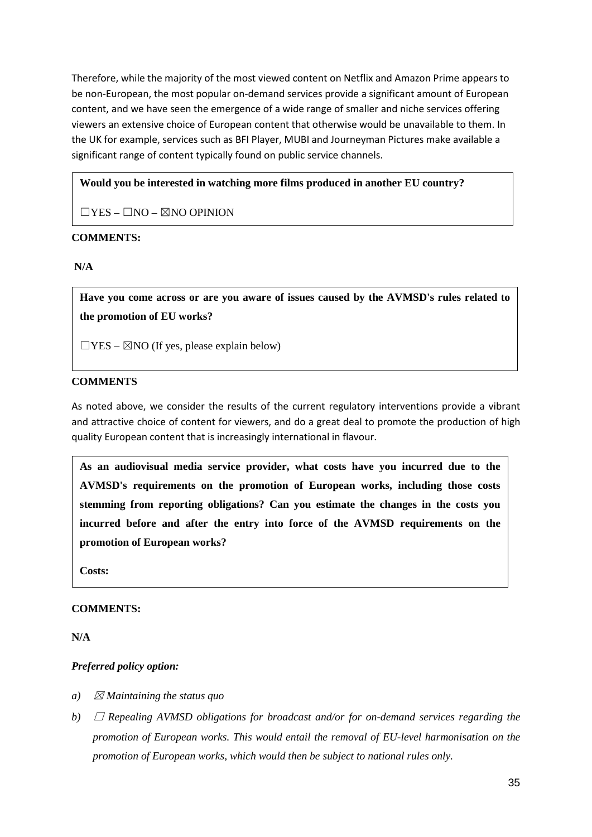Therefore, while the majority of the most viewed content on Netflix and Amazon Prime appears to be non-European, the most popular on-demand services provide a significant amount of European content, and we have seen the emergence of a wide range of smaller and niche services offering viewers an extensive choice of European content that otherwise would be unavailable to them. In the UK for example, services such as BFI Player, MUBI and Journeyman Pictures make available a significant range of content typically found on public service channels.

### **Would you be interested in watching more films produced in another EU country?**

 $\Box$ YES –  $\Box$ NO –  $\boxtimes$ NO OPINION

### **COMMENTS:**

**N/A**

**Have you come across or are you aware of issues caused by the AVMSD's rules related to the promotion of EU works?**

 $\Box$ YES –  $\boxtimes$ NO (If yes, please explain below)

### **COMMENTS**

As noted above, we consider the results of the current regulatory interventions provide a vibrant and attractive choice of content for viewers, and do a great deal to promote the production of high quality European content that is increasingly international in flavour.

**As an audiovisual media service provider, what costs have you incurred due to the AVMSD's requirements on the promotion of European works, including those costs stemming from reporting obligations? Can you estimate the changes in the costs you incurred before and after the entry into force of the AVMSD requirements on the promotion of European works?** 

**Costs:**

#### **COMMENTS:**

**N/A**

### *Preferred policy option:*

- *a*)  $\boxtimes$  *Maintaining the status quo*
- *b)* ☐ *Repealing AVMSD obligations for broadcast and/or for on-demand services regarding the promotion of European works. This would entail the removal of EU-level harmonisation on the promotion of European works, which would then be subject to national rules only.*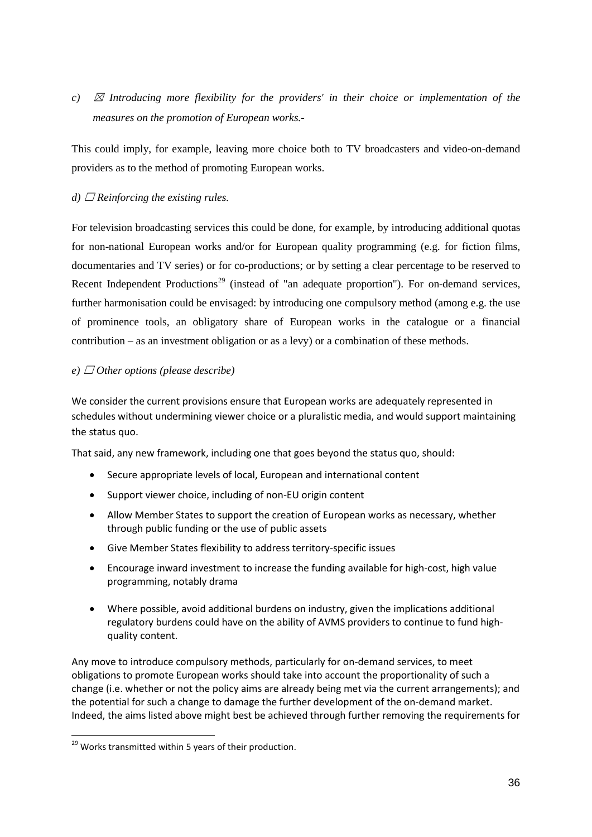*c)* ☒ *Introducing more flexibility for the providers' in their choice or implementation of the measures on the promotion of European works.-*

This could imply, for example, leaving more choice both to TV broadcasters and video-on-demand providers as to the method of promoting European works.

### *d*)  $\Box$  *Reinforcing the existing rules.*

For television broadcasting services this could be done, for example, by introducing additional quotas for non-national European works and/or for European quality programming (e.g. for fiction films, documentaries and TV series) or for co-productions; or by setting a clear percentage to be reserved to Recent Independent Productions<sup>[29](#page-35-0)</sup> (instead of "an adequate proportion"). For on-demand services, further harmonisation could be envisaged: by introducing one compulsory method (among e.g. the use of prominence tools, an obligatory share of European works in the catalogue or a financial contribution – as an investment obligation or as a levy) or a combination of these methods.

#### $e)$   $\Box$  *Other options (please describe)*

We consider the current provisions ensure that European works are adequately represented in schedules without undermining viewer choice or a pluralistic media, and would support maintaining the status quo.

That said, any new framework, including one that goes beyond the status quo, should:

- Secure appropriate levels of local, European and international content
- Support viewer choice, including of non-EU origin content
- Allow Member States to support the creation of European works as necessary, whether through public funding or the use of public assets
- Give Member States flexibility to address territory-specific issues
- Encourage inward investment to increase the funding available for high-cost, high value programming, notably drama
- Where possible, avoid additional burdens on industry, given the implications additional regulatory burdens could have on the ability of AVMS providers to continue to fund highquality content.

Any move to introduce compulsory methods, particularly for on-demand services, to meet obligations to promote European works should take into account the proportionality of such a change (i.e. whether or not the policy aims are already being met via the current arrangements); and the potential for such a change to damage the further development of the on-demand market. Indeed, the aims listed above might best be achieved through further removing the requirements for

-

<span id="page-35-0"></span><sup>&</sup>lt;sup>29</sup> Works transmitted within 5 years of their production.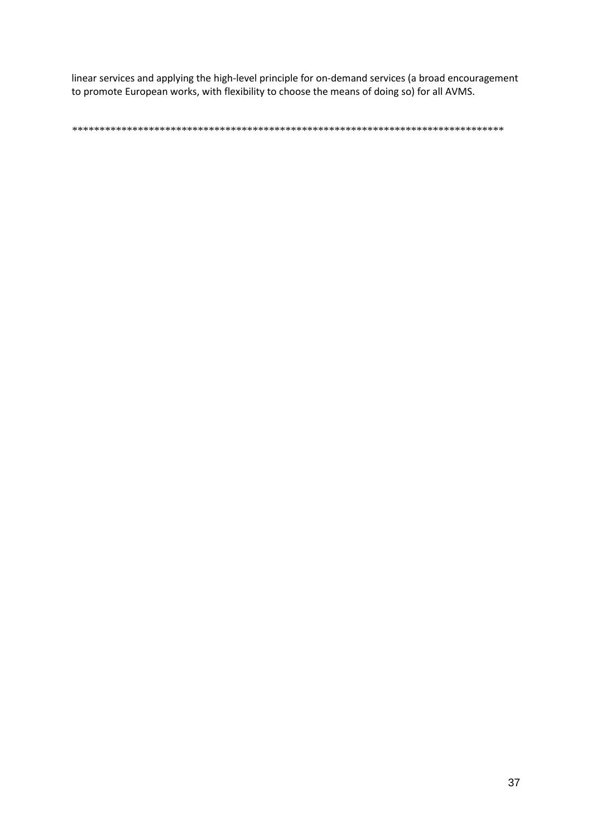linear services and applying the high-level principle for on-demand services (a broad encouragement to promote European works, with flexibility to choose the means of doing so) for all AVMS.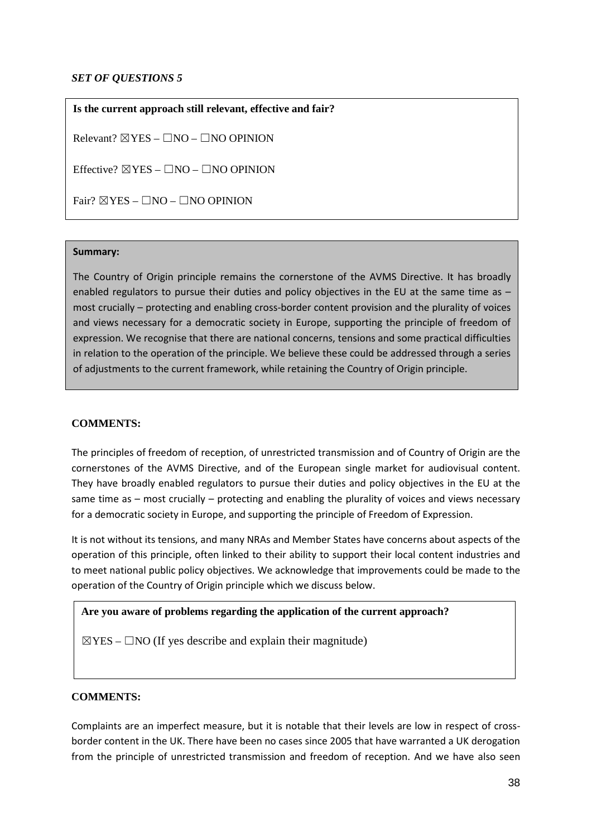### *SET OF QUESTIONS 5*

**Is the current approach still relevant, effective and fair?**

Relevant?  $\boxtimes$  YES –  $\Box$ NO –  $\Box$ NO OPINION

Effective?  $\boxtimes$  YES –  $\Box$ NO –  $\Box$ NO OPINION

Fair?  $\boxtimes$  YES –  $\Box$ NO –  $\Box$ NO OPINION

#### **Summary:**

The Country of Origin principle remains the cornerstone of the AVMS Directive. It has broadly enabled regulators to pursue their duties and policy objectives in the EU at the same time as  $$ most crucially – protecting and enabling cross-border content provision and the plurality of voices and views necessary for a democratic society in Europe, supporting the principle of freedom of expression. We recognise that there are national concerns, tensions and some practical difficulties in relation to the operation of the principle. We believe these could be addressed through a series of adjustments to the current framework, while retaining the Country of Origin principle.

### **COMMENTS:**

The principles of freedom of reception, of unrestricted transmission and of Country of Origin are the cornerstones of the AVMS Directive, and of the European single market for audiovisual content. They have broadly enabled regulators to pursue their duties and policy objectives in the EU at the same time as – most crucially – protecting and enabling the plurality of voices and views necessary for a democratic society in Europe, and supporting the principle of Freedom of Expression.

It is not without its tensions, and many NRAs and Member States have concerns about aspects of the operation of this principle, often linked to their ability to support their local content industries and to meet national public policy objectives. We acknowledge that improvements could be made to the operation of the Country of Origin principle which we discuss below.

### **Are you aware of problems regarding the application of the current approach?**

 $\boxtimes$ YES –  $\Box$ NO (If yes describe and explain their magnitude)

### **COMMENTS:**

Complaints are an imperfect measure, but it is notable that their levels are low in respect of crossborder content in the UK. There have been no cases since 2005 that have warranted a UK derogation from the principle of unrestricted transmission and freedom of reception. And we have also seen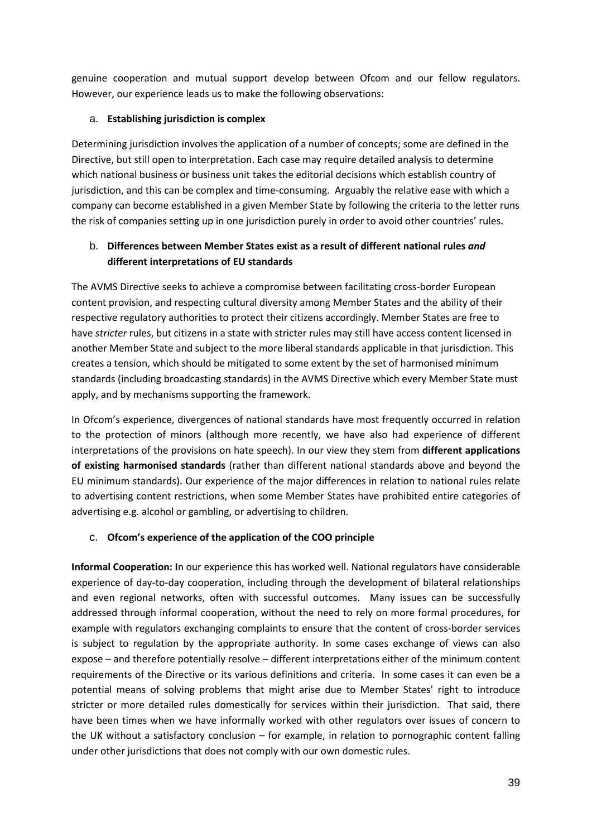genuine cooperation and mutual support develop between Ofcom and our fellow regulators. However, our experience leads us to make the following observations:

# a. **Establishing jurisdiction is complex**

Determining jurisdiction involves the application of a number of concepts; some are defined in the Directive, but still open to interpretation. Each case may require detailed analysis to determine which national business or business unit takes the editorial decisions which establish country of jurisdiction, and this can be complex and time-consuming. Arguably the relative ease with which a company can become established in a given Member State by following the criteria to the letter runs the risk of companies setting up in one jurisdiction purely in order to avoid other countries' rules.

# b. **Differences between Member States exist as a result of different national rules** *and* **different interpretations of EU standards**

The AVMS Directive seeks to achieve a compromise between facilitating cross-border European content provision, and respecting cultural diversity among Member States and the ability of their respective regulatory authorities to protect their citizens accordingly. Member States are free to have *stricter* rules, but citizens in a state with stricter rules may still have access content licensed in another Member State and subject to the more liberal standards applicable in that jurisdiction. This creates a tension, which should be mitigated to some extent by the set of harmonised minimum standards (including broadcasting standards) in the AVMS Directive which every Member State must apply, and by mechanisms supporting the framework.

In Ofcom's experience, divergences of national standards have most frequently occurred in relation to the protection of minors (although more recently, we have also had experience of different interpretations of the provisions on hate speech). In our view they stem from **different applications of existing harmonised standards** (rather than different national standards above and beyond the EU minimum standards). Our experience of the major differences in relation to national rules relate to advertising content restrictions, when some Member States have prohibited entire categories of advertising e.g. alcohol or gambling, or advertising to children.

# c. **Ofcom's experience of the application of the COO principle**

**Informal Cooperation: I**n our experience this has worked well. National regulators have considerable experience of day-to-day cooperation, including through the development of bilateral relationships and even regional networks, often with successful outcomes. Many issues can be successfully addressed through informal cooperation, without the need to rely on more formal procedures, for example with regulators exchanging complaints to ensure that the content of cross-border services is subject to regulation by the appropriate authority. In some cases exchange of views can also expose – and therefore potentially resolve – different interpretations either of the minimum content requirements of the Directive or its various definitions and criteria. In some cases it can even be a potential means of solving problems that might arise due to Member States' right to introduce stricter or more detailed rules domestically for services within their jurisdiction. That said, there have been times when we have informally worked with other regulators over issues of concern to the UK without a satisfactory conclusion – for example, in relation to pornographic content falling under other jurisdictions that does not comply with our own domestic rules.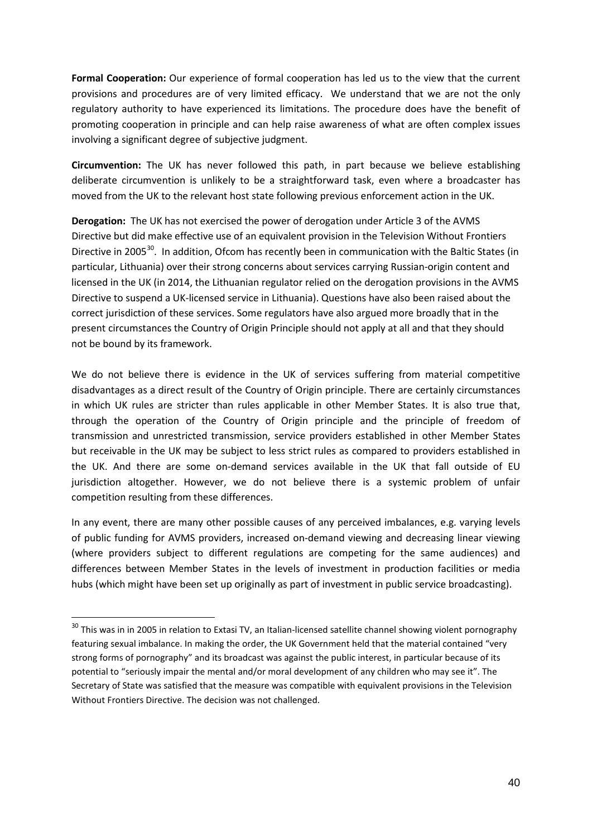**Formal Cooperation:** Our experience of formal cooperation has led us to the view that the current provisions and procedures are of very limited efficacy. We understand that we are not the only regulatory authority to have experienced its limitations. The procedure does have the benefit of promoting cooperation in principle and can help raise awareness of what are often complex issues involving a significant degree of subjective judgment.

**Circumvention:** The UK has never followed this path, in part because we believe establishing deliberate circumvention is unlikely to be a straightforward task, even where a broadcaster has moved from the UK to the relevant host state following previous enforcement action in the UK.

**Derogation:** The UK has not exercised the power of derogation under Article 3 of the AVMS Directive but did make effective use of an equivalent provision in the Television Without Frontiers Directive in 2005<sup>30</sup>. In addition, Ofcom has recently been in communication with the Baltic States (in particular, Lithuania) over their strong concerns about services carrying Russian-origin content and licensed in the UK (in 2014, the Lithuanian regulator relied on the derogation provisions in the AVMS Directive to suspend a UK-licensed service in Lithuania). Questions have also been raised about the correct jurisdiction of these services. Some regulators have also argued more broadly that in the present circumstances the Country of Origin Principle should not apply at all and that they should not be bound by its framework.

We do not believe there is evidence in the UK of services suffering from material competitive disadvantages as a direct result of the Country of Origin principle. There are certainly circumstances in which UK rules are stricter than rules applicable in other Member States. It is also true that, through the operation of the Country of Origin principle and the principle of freedom of transmission and unrestricted transmission, service providers established in other Member States but receivable in the UK may be subject to less strict rules as compared to providers established in the UK. And there are some on-demand services available in the UK that fall outside of EU jurisdiction altogether. However, we do not believe there is a systemic problem of unfair competition resulting from these differences.

In any event, there are many other possible causes of any perceived imbalances, e.g. varying levels of public funding for AVMS providers, increased on-demand viewing and decreasing linear viewing (where providers subject to different regulations are competing for the same audiences) and differences between Member States in the levels of investment in production facilities or media hubs (which might have been set up originally as part of investment in public service broadcasting).

-

<span id="page-39-0"></span><sup>&</sup>lt;sup>30</sup> This was in in 2005 in relation to Extasi TV, an Italian-licensed satellite channel showing violent pornography featuring sexual imbalance. In making the order, the UK Government held that the material contained "very strong forms of pornography" and its broadcast was against the public interest, in particular because of its potential to "seriously impair the mental and/or moral development of any children who may see it". The Secretary of State was satisfied that the measure was compatible with equivalent provisions in the Television Without Frontiers Directive. The decision was not challenged.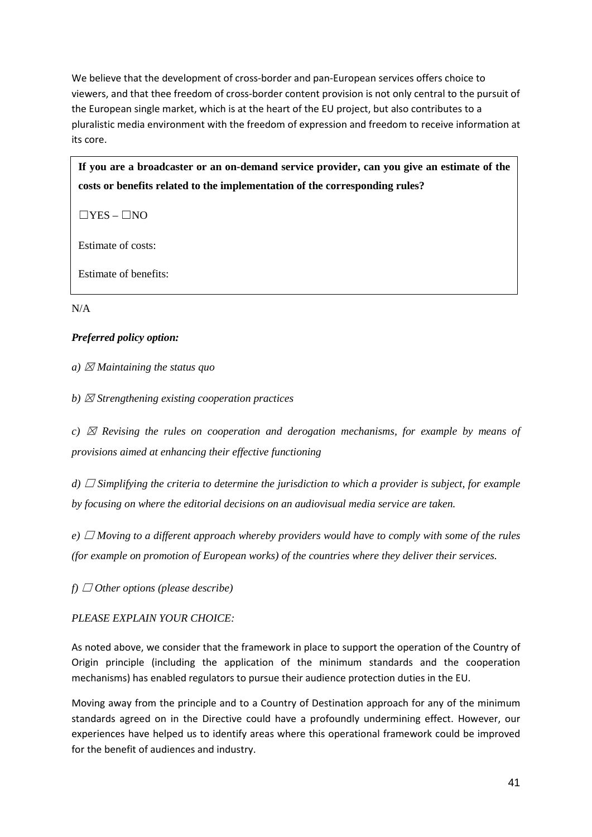We believe that the development of cross-border and pan-European services offers choice to viewers, and that thee freedom of cross-border content provision is not only central to the pursuit of the European single market, which is at the heart of the EU project, but also contributes to a pluralistic media environment with the freedom of expression and freedom to receive information at its core.

**If you are a broadcaster or an on-demand service provider, can you give an estimate of the costs or benefits related to the implementation of the corresponding rules?**

 $\Box$ YES –  $\Box$ NO

Estimate of costs:

Estimate of benefits:

N/A

# *Preferred policy option:*

*a*)  $\boxtimes$  *Maintaining the status quo* 

*b)* ☒ *Strengthening existing cooperation practices*

*c)*  $\boxtimes$  *Revising the rules on cooperation and derogation mechanisms, for example by means of provisions aimed at enhancing their effective functioning*

*d*) □ *Simplifying the criteria to determine the jurisdiction to which a provider is subject, for example by focusing on where the editorial decisions on an audiovisual media service are taken.*

*e*) □ *Moving to a different approach whereby providers would have to comply with some of the rules (for example on promotion of European works) of the countries where they deliver their services.*

 $f)$   $\Box$  *Other options (please describe)* 

### *PLEASE EXPLAIN YOUR CHOICE:*

As noted above, we consider that the framework in place to support the operation of the Country of Origin principle (including the application of the minimum standards and the cooperation mechanisms) has enabled regulators to pursue their audience protection duties in the EU.

Moving away from the principle and to a Country of Destination approach for any of the minimum standards agreed on in the Directive could have a profoundly undermining effect. However, our experiences have helped us to identify areas where this operational framework could be improved for the benefit of audiences and industry.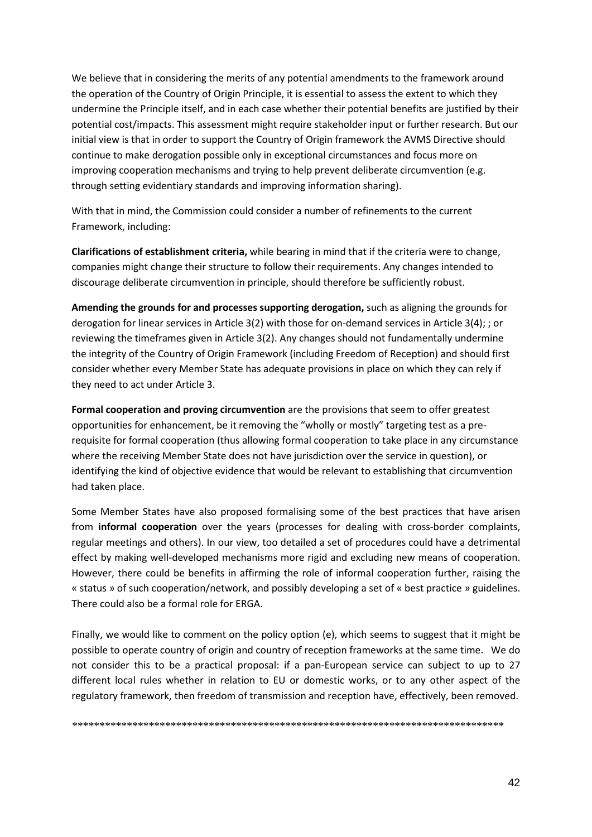We believe that in considering the merits of any potential amendments to the framework around the operation of the Country of Origin Principle, it is essential to assess the extent to which they undermine the Principle itself, and in each case whether their potential benefits are justified by their potential cost/impacts. This assessment might require stakeholder input or further research. But our initial view is that in order to support the Country of Origin framework the AVMS Directive should continue to make derogation possible only in exceptional circumstances and focus more on improving cooperation mechanisms and trying to help prevent deliberate circumvention (e.g. through setting evidentiary standards and improving information sharing).

With that in mind, the Commission could consider a number of refinements to the current Framework, including:

**Clarifications of establishment criteria,** while bearing in mind that if the criteria were to change, companies might change their structure to follow their requirements. Any changes intended to discourage deliberate circumvention in principle, should therefore be sufficiently robust.

**Amending the grounds for and processes supporting derogation,** such as aligning the grounds for derogation for linear services in Article 3(2) with those for on-demand services in Article 3(4); ; or reviewing the timeframes given in Article 3(2). Any changes should not fundamentally undermine the integrity of the Country of Origin Framework (including Freedom of Reception) and should first consider whether every Member State has adequate provisions in place on which they can rely if they need to act under Article 3.

**Formal cooperation and proving circumvention** are the provisions that seem to offer greatest opportunities for enhancement, be it removing the "wholly or mostly" targeting test as a prerequisite for formal cooperation (thus allowing formal cooperation to take place in any circumstance where the receiving Member State does not have jurisdiction over the service in question), or identifying the kind of objective evidence that would be relevant to establishing that circumvention had taken place.

Some Member States have also proposed formalising some of the best practices that have arisen from **informal cooperation** over the years (processes for dealing with cross-border complaints, regular meetings and others). In our view, too detailed a set of procedures could have a detrimental effect by making well-developed mechanisms more rigid and excluding new means of cooperation. However, there could be benefits in affirming the role of informal cooperation further, raising the « status » of such cooperation/network, and possibly developing a set of « best practice » guidelines. There could also be a formal role for ERGA.

Finally, we would like to comment on the policy option (e), which seems to suggest that it might be possible to operate country of origin and country of reception frameworks at the same time. We do not consider this to be a practical proposal: if a pan-European service can subject to up to 27 different local rules whether in relation to EU or domestic works, or to any other aspect of the regulatory framework, then freedom of transmission and reception have, effectively, been removed.

*\*\*\*\*\*\*\*\*\*\*\*\*\*\*\*\*\*\*\*\*\*\*\*\*\*\*\*\*\*\*\*\*\*\*\*\*\*\*\*\*\*\*\*\*\*\*\*\*\*\*\*\*\*\*\*\*\*\*\*\*\*\*\*\*\*\*\*\*\*\*\*\*\*\*\*\*\*\*\**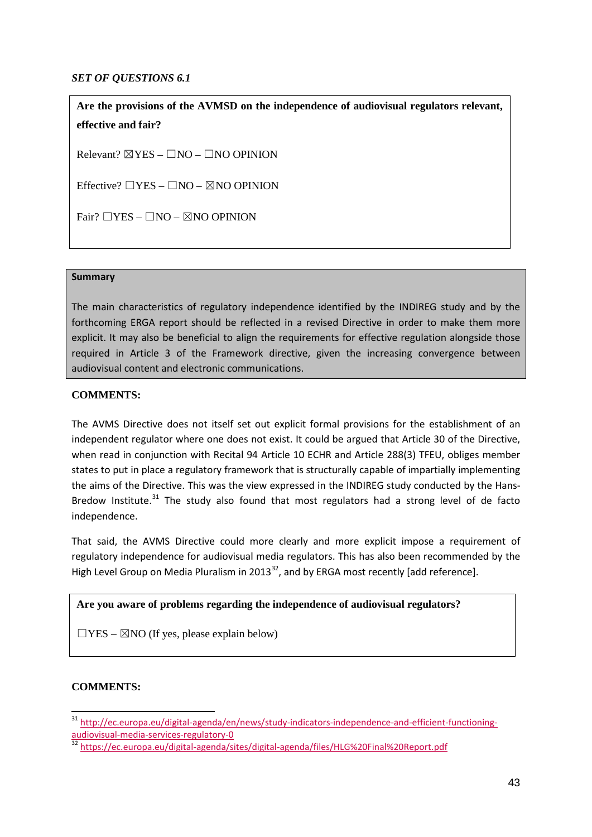### *SET OF QUESTIONS 6.1*

**Are the provisions of the AVMSD on the independence of audiovisual regulators relevant, effective and fair?**

Relevant?  $\boxtimes$  YES –  $\Box$ NO –  $\Box$ NO OPINION

Effective?  $\Box$ YES –  $\Box$ NO –  $\boxtimes$ NO OPINION

Fair?  $\Box$ YES –  $\Box$ NO –  $\boxtimes$ NO OPINION

### **Summary**

The main characteristics of regulatory independence identified by the INDIREG study and by the forthcoming ERGA report should be reflected in a revised Directive in order to make them more explicit. It may also be beneficial to align the requirements for effective regulation alongside those required in Article 3 of the Framework directive, given the increasing convergence between audiovisual content and electronic communications.

### **COMMENTS:**

The AVMS Directive does not itself set out explicit formal provisions for the establishment of an independent regulator where one does not exist. It could be argued that Article 30 of the Directive, when read in conjunction with Recital 94 Article 10 ECHR and Article 288(3) TFEU, obliges member states to put in place a regulatory framework that is structurally capable of impartially implementing the aims of the Directive. This was the view expressed in the INDIREG study conducted by the Hans-Bredow Institute. $31$  The study also found that most regulators had a strong level of de facto independence.

That said, the AVMS Directive could more clearly and more explicit impose a requirement of regulatory independence for audiovisual media regulators. This has also been recommended by the High Level Group on Media Pluralism in 2013<sup>[32](#page-42-1)</sup>, and by ERGA most recently [add reference].

### **Are you aware of problems regarding the independence of audiovisual regulators?**

 $\Box$ YES –  $\boxtimes$ NO (If yes, please explain below)

### **COMMENTS:**

<span id="page-42-0"></span><sup>&</sup>lt;sup>31</sup> [http://ec.europa.eu/digital-agenda/en/news/study-indicators-independence-and-efficient-functioning](http://ec.europa.eu/digital-agenda/en/news/study-indicators-independence-and-efficient-functioning-audiovisual-media-services-regulatory-0)[audiovisual-media-services-regulatory-0](http://ec.europa.eu/digital-agenda/en/news/study-indicators-independence-and-efficient-functioning-audiovisual-media-services-regulatory-0)<br><sup>32</sup> <https://ec.europa.eu/digital-agenda/sites/digital-agenda/files/HLG%20Final%20Report.pdf>  $\overline{a}$ 

<span id="page-42-1"></span>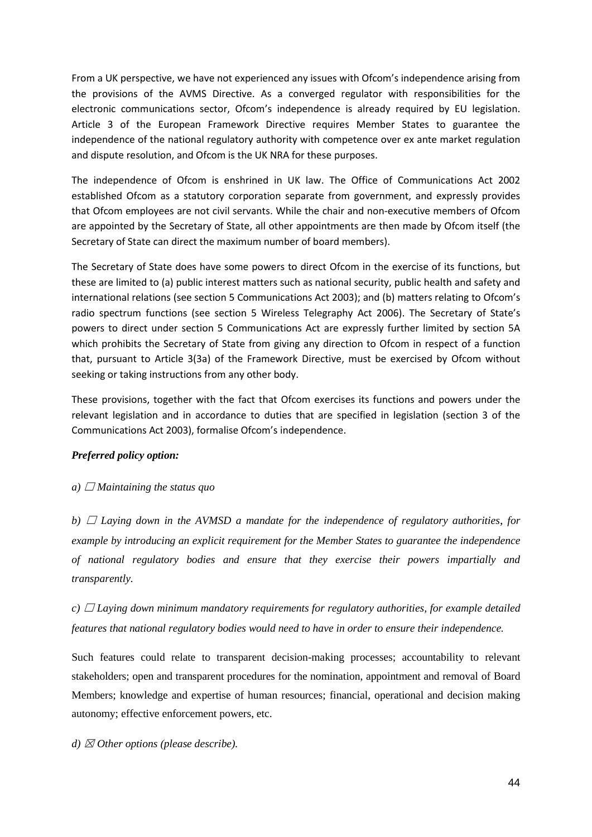From a UK perspective, we have not experienced any issues with Ofcom's independence arising from the provisions of the AVMS Directive. As a converged regulator with responsibilities for the electronic communications sector, Ofcom's independence is already required by EU legislation. Article 3 of the European Framework Directive requires Member States to guarantee the independence of the national regulatory authority with competence over ex ante market regulation and dispute resolution, and Ofcom is the UK NRA for these purposes.

The independence of Ofcom is enshrined in UK law. The Office of Communications Act 2002 established Ofcom as a statutory corporation separate from government, and expressly provides that Ofcom employees are not civil servants. While the chair and non-executive members of Ofcom are appointed by the Secretary of State, all other appointments are then made by Ofcom itself (the Secretary of State can direct the maximum number of board members).

The Secretary of State does have some powers to direct Ofcom in the exercise of its functions, but these are limited to (a) public interest matters such as national security, public health and safety and international relations (see section 5 Communications Act 2003); and (b) matters relating to Ofcom's radio spectrum functions (see section 5 Wireless Telegraphy Act 2006). The Secretary of State's powers to direct under section 5 Communications Act are expressly further limited by section 5A which prohibits the Secretary of State from giving any direction to Ofcom in respect of a function that, pursuant to Article 3(3a) of the Framework Directive, must be exercised by Ofcom without seeking or taking instructions from any other body.

These provisions, together with the fact that Ofcom exercises its functions and powers under the relevant legislation and in accordance to duties that are specified in legislation (section 3 of the Communications Act 2003), formalise Ofcom's independence.

### *Preferred policy option:*

### *a*)  $\Box$  *Maintaining the status quo*

*b)*  $\Box$  *Laying down in the AVMSD a mandate for the independence of regulatory authorities, for example by introducing an explicit requirement for the Member States to guarantee the independence of national regulatory bodies and ensure that they exercise their powers impartially and transparently.*

*c)* ☐ *Laying down minimum mandatory requirements for regulatory authorities, for example detailed features that national regulatory bodies would need to have in order to ensure their independence.* 

Such features could relate to transparent decision-making processes; accountability to relevant stakeholders; open and transparent procedures for the nomination, appointment and removal of Board Members; knowledge and expertise of human resources; financial, operational and decision making autonomy; effective enforcement powers, etc.

*d)* ☒ *Other options (please describe).*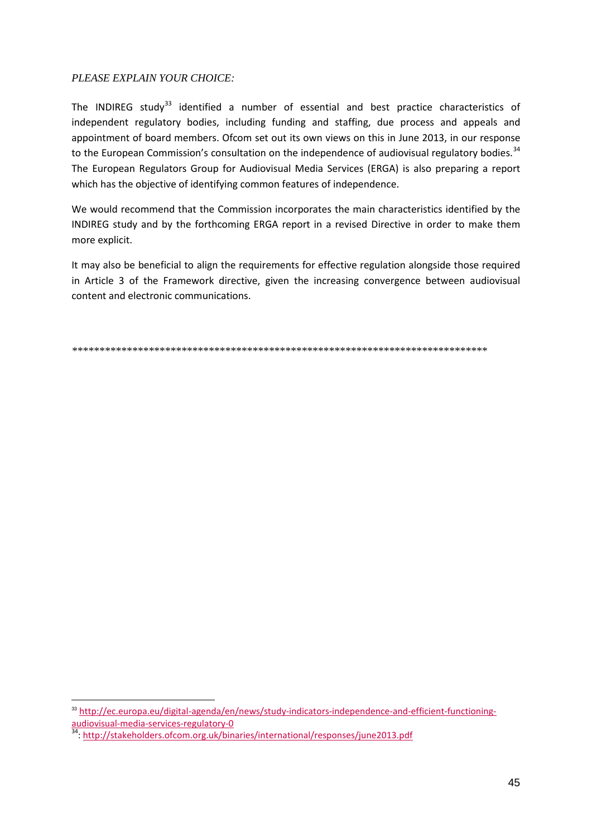### PLEASE EXPLAIN YOUR CHOICE:

The INDIREG study<sup>33</sup> identified a number of essential and best practice characteristics of independent regulatory bodies, including funding and staffing, due process and appeals and appointment of board members. Ofcom set out its own views on this in June 2013, in our response to the European Commission's consultation on the independence of audiovisual regulatory bodies.<sup>34</sup> The European Regulators Group for Audiovisual Media Services (ERGA) is also preparing a report which has the objective of identifying common features of independence.

We would recommend that the Commission incorporates the main characteristics identified by the INDIREG study and by the forthcoming ERGA report in a revised Directive in order to make them more explicit.

It may also be beneficial to align the requirements for effective regulation alongside those required in Article 3 of the Framework directive, given the increasing convergence between audiovisual content and electronic communications.

<span id="page-44-0"></span><sup>&</sup>lt;sup>33</sup> http://ec.europa.eu/digital-agenda/en/news/study-indicators-independence-and-efficient-functioningaudiovisual-media-services-regulatory-0

<span id="page-44-1"></span><sup>34:</sup> http://stakeholders.ofcom.org.uk/binaries/international/responses/june2013.pdf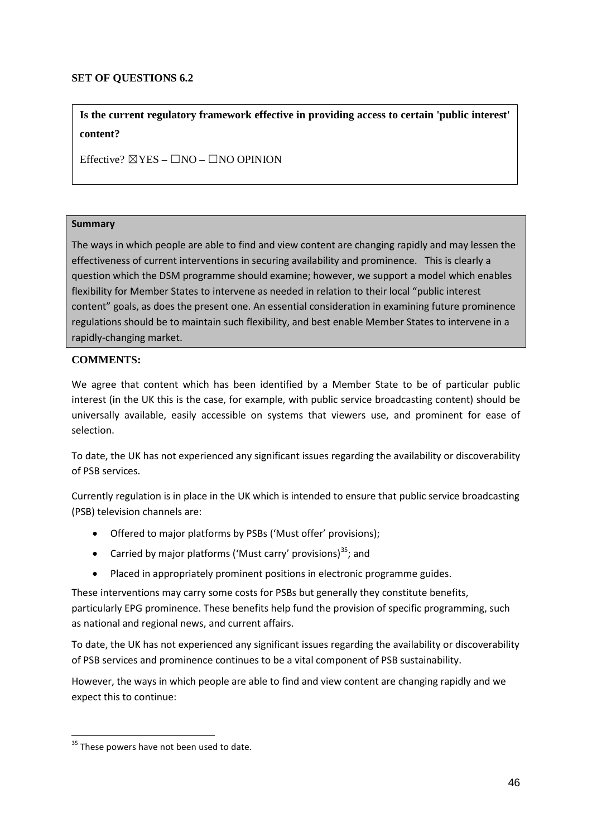### **SET OF QUESTIONS 6.2**

**Is the current regulatory framework effective in providing access to certain 'public interest' content?**

Effective?  $\boxtimes$  YES –  $\Box$ NO –  $\Box$ NO OPINION

#### **Summary**

The ways in which people are able to find and view content are changing rapidly and may lessen the effectiveness of current interventions in securing availability and prominence. This is clearly a question which the DSM programme should examine; however, we support a model which enables flexibility for Member States to intervene as needed in relation to their local "public interest content" goals, as does the present one. An essential consideration in examining future prominence regulations should be to maintain such flexibility, and best enable Member States to intervene in a rapidly-changing market.

#### **COMMENTS:**

We agree that content which has been identified by a Member State to be of particular public interest (in the UK this is the case, for example, with public service broadcasting content) should be universally available, easily accessible on systems that viewers use, and prominent for ease of selection.

To date, the UK has not experienced any significant issues regarding the availability or discoverability of PSB services.

Currently regulation is in place in the UK which is intended to ensure that public service broadcasting (PSB) television channels are:

- Offered to major platforms by PSBs ('Must offer' provisions);
- Carried by major platforms ('Must carry' provisions)<sup>35</sup>; and
- Placed in appropriately prominent positions in electronic programme guides.

These interventions may carry some costs for PSBs but generally they constitute benefits, particularly EPG prominence. These benefits help fund the provision of specific programming, such as national and regional news, and current affairs.

To date, the UK has not experienced any significant issues regarding the availability or discoverability of PSB services and prominence continues to be a vital component of PSB sustainability.

However, the ways in which people are able to find and view content are changing rapidly and we expect this to continue:

-

<span id="page-45-0"></span><sup>&</sup>lt;sup>35</sup> These powers have not been used to date.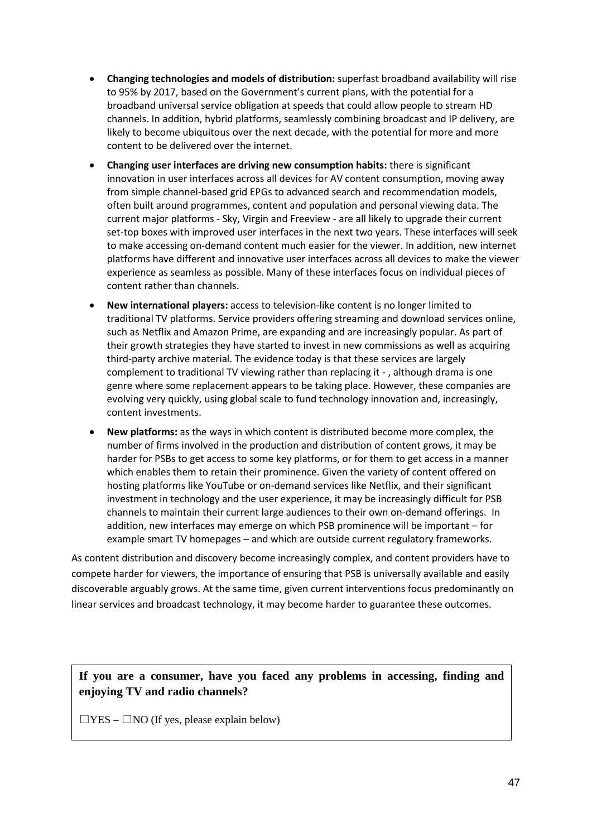- **Changing technologies and models of distribution:** superfast broadband availability will rise to 95% by 2017, based on the Government's current plans, with the potential for a broadband universal service obligation at speeds that could allow people to stream HD channels. In addition, hybrid platforms, seamlessly combining broadcast and IP delivery, are likely to become ubiquitous over the next decade, with the potential for more and more content to be delivered over the internet.
- **Changing user interfaces are driving new consumption habits:** there is significant innovation in user interfaces across all devices for AV content consumption, moving away from simple channel-based grid EPGs to advanced search and recommendation models, often built around programmes, content and population and personal viewing data. The current major platforms - Sky, Virgin and Freeview - are all likely to upgrade their current set-top boxes with improved user interfaces in the next two years. These interfaces will seek to make accessing on-demand content much easier for the viewer. In addition, new internet platforms have different and innovative user interfaces across all devices to make the viewer experience as seamless as possible. Many of these interfaces focus on individual pieces of content rather than channels.
- **New international players:** access to television-like content is no longer limited to traditional TV platforms. Service providers offering streaming and download services online, such as Netflix and Amazon Prime, are expanding and are increasingly popular. As part of their growth strategies they have started to invest in new commissions as well as acquiring third-party archive material. The evidence today is that these services are largely complement to traditional TV viewing rather than replacing it - , although drama is one genre where some replacement appears to be taking place. However, these companies are evolving very quickly, using global scale to fund technology innovation and, increasingly, content investments.
- **New platforms:** as the ways in which content is distributed become more complex, the number of firms involved in the production and distribution of content grows, it may be harder for PSBs to get access to some key platforms, or for them to get access in a manner which enables them to retain their prominence. Given the variety of content offered on hosting platforms like YouTube or on-demand services like Netflix, and their significant investment in technology and the user experience, it may be increasingly difficult for PSB channels to maintain their current large audiences to their own on-demand offerings. In addition, new interfaces may emerge on which PSB prominence will be important – for example smart TV homepages – and which are outside current regulatory frameworks.

As content distribution and discovery become increasingly complex, and content providers have to compete harder for viewers, the importance of ensuring that PSB is universally available and easily discoverable arguably grows. At the same time, given current interventions focus predominantly on linear services and broadcast technology, it may become harder to guarantee these outcomes.

# **If you are a consumer, have you faced any problems in accessing, finding and enjoying TV and radio channels?**

 $\Box$ YES –  $\Box$ NO (If yes, please explain below)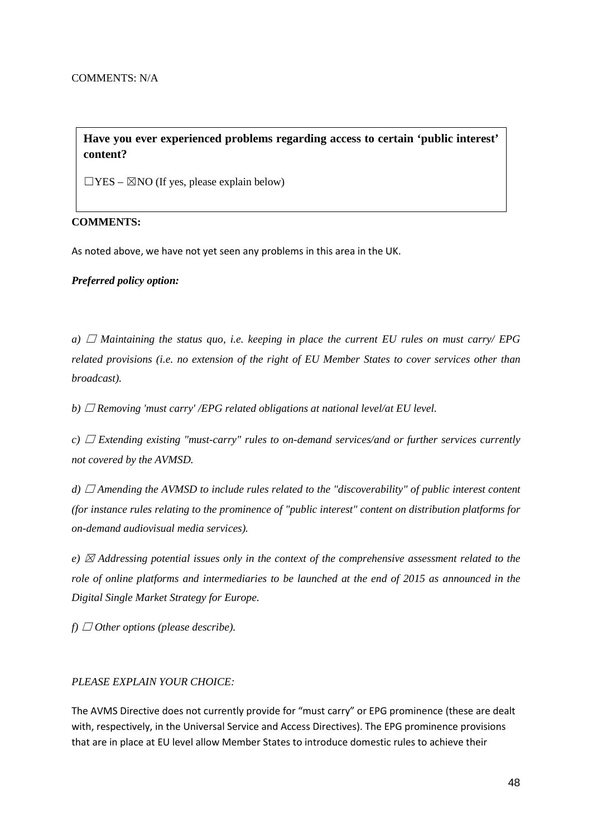# **Have you ever experienced problems regarding access to certain 'public interest' content?**

 $\Box$ YES –  $\boxtimes$ NO (If yes, please explain below)

### **COMMENTS:**

As noted above, we have not yet seen any problems in this area in the UK.

*Preferred policy option:*

*a)*  $\Box$  *Maintaining the status quo, i.e. keeping in place the current EU rules on must carry/ EPG related provisions (i.e. no extension of the right of EU Member States to cover services other than broadcast).*

*b)* ☐ *Removing 'must carry' /EPG related obligations at national level/at EU level.*

*c)* ☐ *Extending existing "must-carry" rules to on-demand services/and or further services currently not covered by the AVMSD.* 

*d*) □ *Amending the AVMSD to include rules related to the "discoverability" of public interest content (for instance rules relating to the prominence of "public interest" content on distribution platforms for on-demand audiovisual media services).*

*e)* ☒ *Addressing potential issues only in the context of the comprehensive assessment related to the role of online platforms and intermediaries to be launched at the end of 2015 as announced in the Digital Single Market Strategy for Europe.*

 $f) \Box$  *Other options (please describe).* 

#### *PLEASE EXPLAIN YOUR CHOICE:*

The AVMS Directive does not currently provide for "must carry" or EPG prominence (these are dealt with, respectively, in the Universal Service and Access Directives). The EPG prominence provisions that are in place at EU level allow Member States to introduce domestic rules to achieve their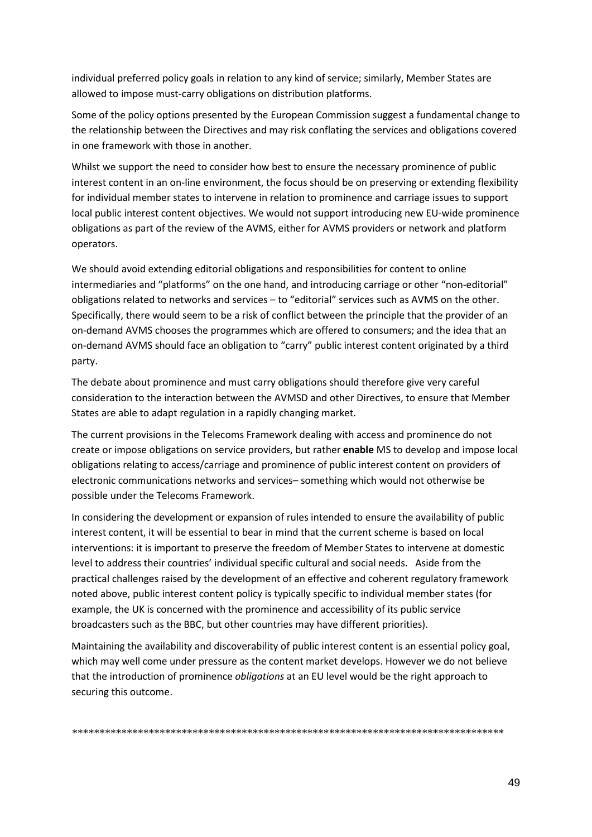individual preferred policy goals in relation to any kind of service; similarly, Member States are allowed to impose must-carry obligations on distribution platforms.

Some of the policy options presented by the European Commission suggest a fundamental change to the relationship between the Directives and may risk conflating the services and obligations covered in one framework with those in another.

Whilst we support the need to consider how best to ensure the necessary prominence of public interest content in an on-line environment, the focus should be on preserving or extending flexibility for individual member states to intervene in relation to prominence and carriage issues to support local public interest content objectives. We would not support introducing new EU-wide prominence obligations as part of the review of the AVMS, either for AVMS providers or network and platform operators.

We should avoid extending editorial obligations and responsibilities for content to online intermediaries and "platforms" on the one hand, and introducing carriage or other "non-editorial" obligations related to networks and services – to "editorial" services such as AVMS on the other. Specifically, there would seem to be a risk of conflict between the principle that the provider of an on-demand AVMS chooses the programmes which are offered to consumers; and the idea that an on-demand AVMS should face an obligation to "carry" public interest content originated by a third party.

The debate about prominence and must carry obligations should therefore give very careful consideration to the interaction between the AVMSD and other Directives, to ensure that Member States are able to adapt regulation in a rapidly changing market.

The current provisions in the Telecoms Framework dealing with access and prominence do not create or impose obligations on service providers, but rather **enable** MS to develop and impose local obligations relating to access/carriage and prominence of public interest content on providers of electronic communications networks and services– something which would not otherwise be possible under the Telecoms Framework.

In considering the development or expansion of rules intended to ensure the availability of public interest content, it will be essential to bear in mind that the current scheme is based on local interventions: it is important to preserve the freedom of Member States to intervene at domestic level to address their countries' individual specific cultural and social needs. Aside from the practical challenges raised by the development of an effective and coherent regulatory framework noted above, public interest content policy is typically specific to individual member states (for example, the UK is concerned with the prominence and accessibility of its public service broadcasters such as the BBC, but other countries may have different priorities).

Maintaining the availability and discoverability of public interest content is an essential policy goal, which may well come under pressure as the content market develops. However we do not believe that the introduction of prominence *obligations* at an EU level would be the right approach to securing this outcome.

*\*\*\*\*\*\*\*\*\*\*\*\*\*\*\*\*\*\*\*\*\*\*\*\*\*\*\*\*\*\*\*\*\*\*\*\*\*\*\*\*\*\*\*\*\*\*\*\*\*\*\*\*\*\*\*\*\*\*\*\*\*\*\*\*\*\*\*\*\*\*\*\*\*\*\*\*\*\*\**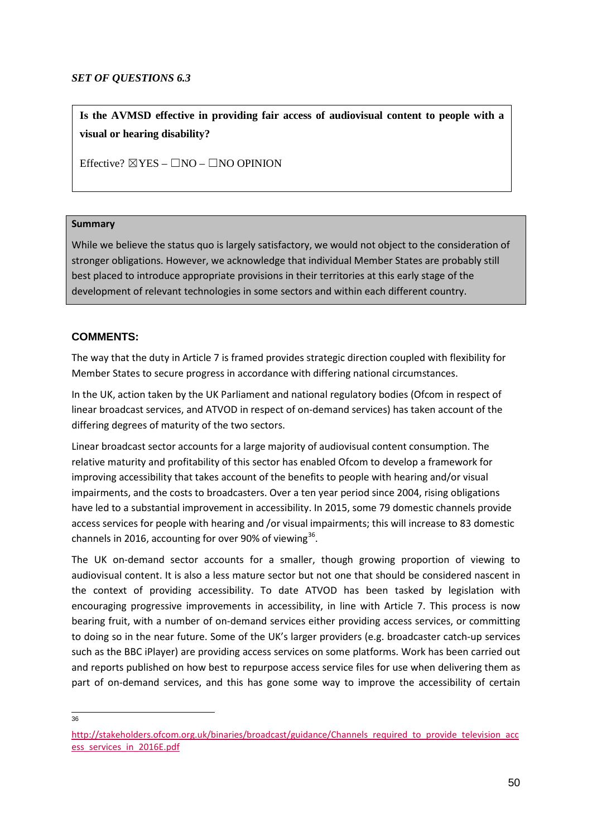### *SET OF QUESTIONS 6.3*

**Is the AVMSD effective in providing fair access of audiovisual content to people with a visual or hearing disability?**

Effective?  $\boxtimes$  YES –  $\Box$ NO –  $\Box$ NO OPINION

### **Summary**

While we believe the status quo is largely satisfactory, we would not object to the consideration of stronger obligations. However, we acknowledge that individual Member States are probably still best placed to introduce appropriate provisions in their territories at this early stage of the development of relevant technologies in some sectors and within each different country.

# **COMMENTS:**

The way that the duty in Article 7 is framed provides strategic direction coupled with flexibility for Member States to secure progress in accordance with differing national circumstances.

In the UK, action taken by the UK Parliament and national regulatory bodies (Ofcom in respect of linear broadcast services, and ATVOD in respect of on-demand services) has taken account of the differing degrees of maturity of the two sectors.

Linear broadcast sector accounts for a large majority of audiovisual content consumption. The relative maturity and profitability of this sector has enabled Ofcom to develop a framework for improving accessibility that takes account of the benefits to people with hearing and/or visual impairments, and the costs to broadcasters. Over a ten year period since 2004, rising obligations have led to a substantial improvement in accessibility. In 2015, some 79 domestic channels provide access services for people with hearing and /or visual impairments; this will increase to 83 domestic channels in 2016, accounting for over 90% of viewing $36$ .

The UK on-demand sector accounts for a smaller, though growing proportion of viewing to audiovisual content. It is also a less mature sector but not one that should be considered nascent in the context of providing accessibility. To date ATVOD has been tasked by legislation with encouraging progressive improvements in accessibility, in line with Article 7. This process is now bearing fruit, with a number of on-demand services either providing access services, or committing to doing so in the near future. Some of the UK's larger providers (e.g. broadcaster catch-up services such as the BBC iPlayer) are providing access services on some platforms. Work has been carried out and reports published on how best to repurpose access service files for use when delivering them as part of on-demand services, and this has gone some way to improve the accessibility of certain

 $\frac{1}{36}$ 

<span id="page-49-0"></span>[http://stakeholders.ofcom.org.uk/binaries/broadcast/guidance/Channels\\_required\\_to\\_provide\\_television\\_acc](http://stakeholders.ofcom.org.uk/binaries/broadcast/guidance/Channels_required_to_provide_television_access_services_in_2016E.pdf) [ess\\_services\\_in\\_2016E.pdf](http://stakeholders.ofcom.org.uk/binaries/broadcast/guidance/Channels_required_to_provide_television_access_services_in_2016E.pdf)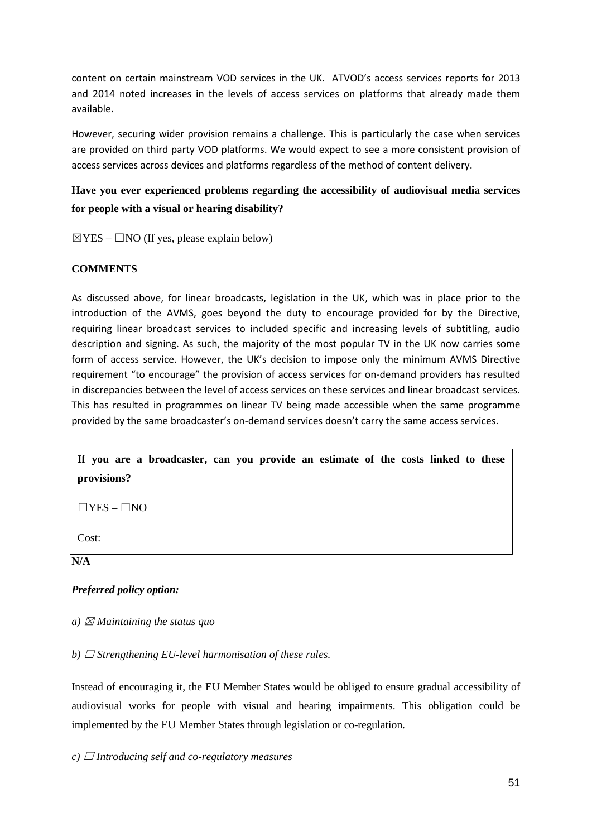content on certain mainstream VOD services in the UK. ATVOD's access services reports for 2013 and 2014 noted increases in the levels of access services on platforms that already made them available.

However, securing wider provision remains a challenge. This is particularly the case when services are provided on third party VOD platforms. We would expect to see a more consistent provision of access services across devices and platforms regardless of the method of content delivery.

# **Have you ever experienced problems regarding the accessibility of audiovisual media services for people with a visual or hearing disability?**

 $\boxtimes$ YES –  $\Box$ NO (If yes, please explain below)

### **COMMENTS**

As discussed above, for linear broadcasts, legislation in the UK, which was in place prior to the introduction of the AVMS, goes beyond the duty to encourage provided for by the Directive, requiring linear broadcast services to included specific and increasing levels of subtitling, audio description and signing. As such, the majority of the most popular TV in the UK now carries some form of access service. However, the UK's decision to impose only the minimum AVMS Directive requirement "to encourage" the provision of access services for on-demand providers has resulted in discrepancies between the level of access services on these services and linear broadcast services. This has resulted in programmes on linear TV being made accessible when the same programme provided by the same broadcaster's on-demand services doesn't carry the same access services.

**If you are a broadcaster, can you provide an estimate of the costs linked to these provisions?**

 $\Box$ YES –  $\Box$ NO

Cost:

**N/A**

### *Preferred policy option:*

### *a*)  $\boxtimes$  *Maintaining the status quo*

*b*)  $\Box$  *Strengthening EU-level harmonisation of these rules.* 

Instead of encouraging it, the EU Member States would be obliged to ensure gradual accessibility of audiovisual works for people with visual and hearing impairments. This obligation could be implemented by the EU Member States through legislation or co-regulation.

#### $c)$   $\Box$  *Introducing self and co-regulatory measures*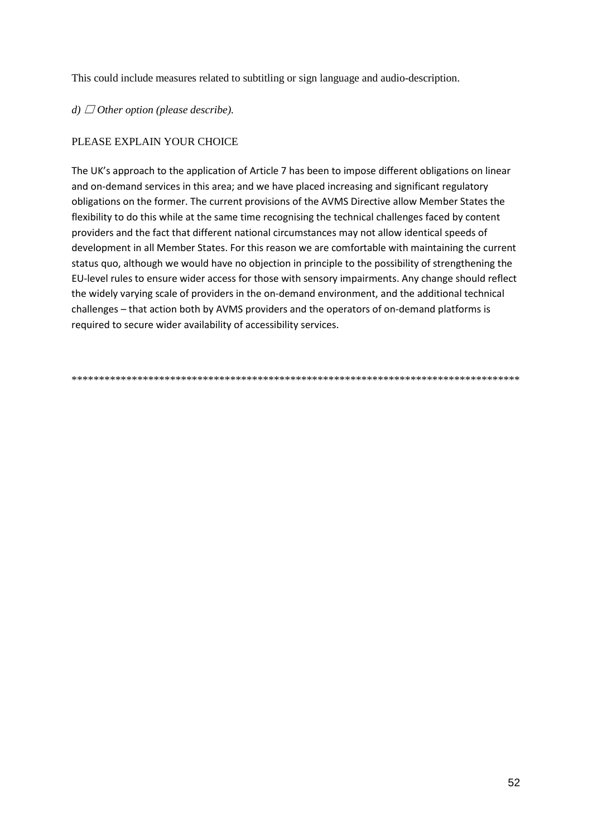This could include measures related to subtitling or sign language and audio-description.

# d)  $\Box$  Other option (please describe).

# PLEASE EXPLAIN YOUR CHOICE

The UK's approach to the application of Article 7 has been to impose different obligations on linear and on-demand services in this area; and we have placed increasing and significant regulatory obligations on the former. The current provisions of the AVMS Directive allow Member States the flexibility to do this while at the same time recognising the technical challenges faced by content providers and the fact that different national circumstances may not allow identical speeds of development in all Member States. For this reason we are comfortable with maintaining the current status quo, although we would have no objection in principle to the possibility of strengthening the EU-level rules to ensure wider access for those with sensory impairments. Any change should reflect the widely varying scale of providers in the on-demand environment, and the additional technical challenges - that action both by AVMS providers and the operators of on-demand platforms is required to secure wider availability of accessibility services.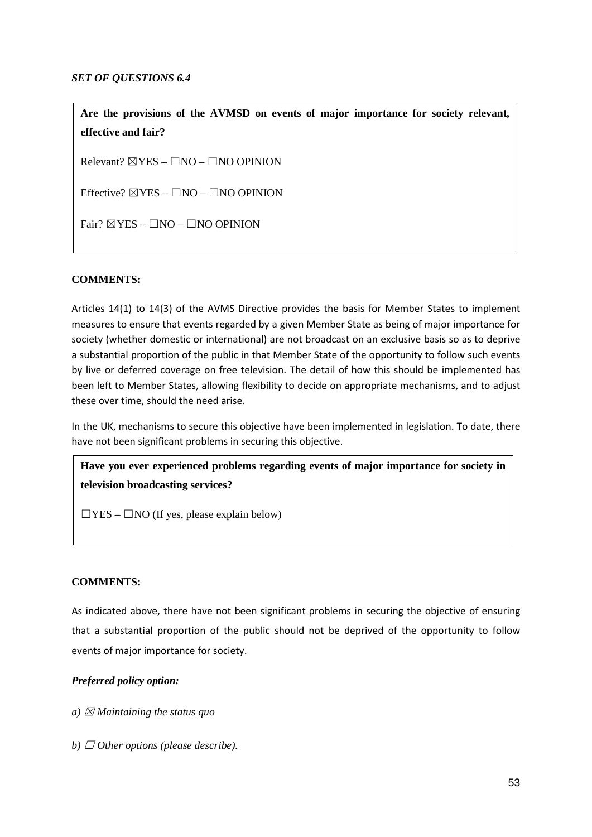### *SET OF QUESTIONS 6.4*

**Are the provisions of the AVMSD on events of major importance for society relevant, effective and fair?**

Relevant?  $\triangledown$ YES –  $\square$ NO –  $\square$ NO OPINION

Effective?  $\boxtimes$ YES –  $\Box$ NO –  $\Box$ NO OPINION

Fair?  $\boxtimes$  YES –  $\Box$ NO –  $\Box$ NO OPINION

### **COMMENTS:**

Articles 14(1) to 14(3) of the AVMS Directive provides the basis for Member States to implement measures to ensure that events regarded by a given Member State as being of major importance for society (whether domestic or international) are not broadcast on an exclusive basis so as to deprive a substantial proportion of the public in that Member State of the opportunity to follow such events by live or deferred coverage on free television. The detail of how this should be implemented has been left to Member States, allowing flexibility to decide on appropriate mechanisms, and to adjust these over time, should the need arise.

In the UK, mechanisms to secure this objective have been implemented in legislation. To date, there have not been significant problems in securing this objective.

**Have you ever experienced problems regarding events of major importance for society in television broadcasting services?**

 $\Box$ YES –  $\Box$ NO (If yes, please explain below)

#### **COMMENTS:**

As indicated above, there have not been significant problems in securing the objective of ensuring that a substantial proportion of the public should not be deprived of the opportunity to follow events of major importance for society.

### *Preferred policy option:*

*a*)  $\boxtimes$  *Maintaining the status quo* 

*b*)  $\Box$  *Other options (please describe).*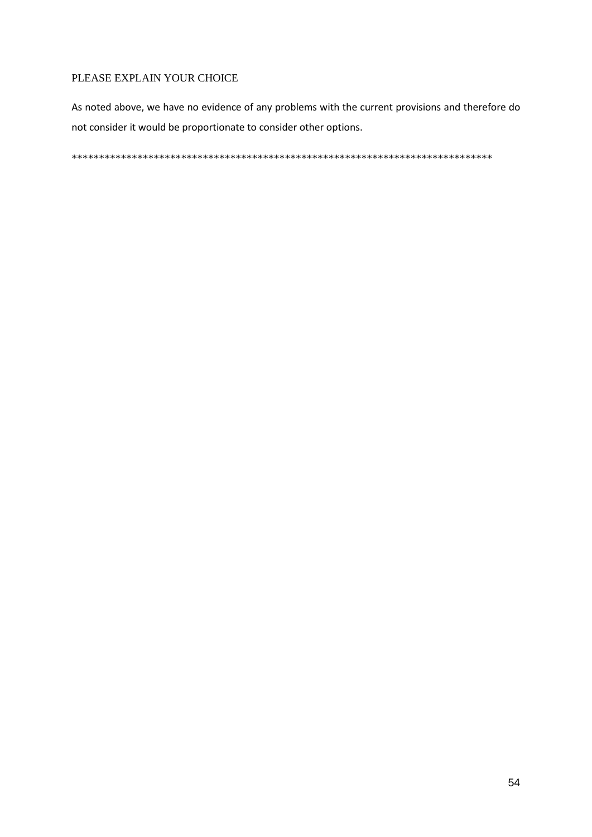### PLEASE EXPLAIN YOUR CHOICE

As noted above, we have no evidence of any problems with the current provisions and therefore do not consider it would be proportionate to consider other options.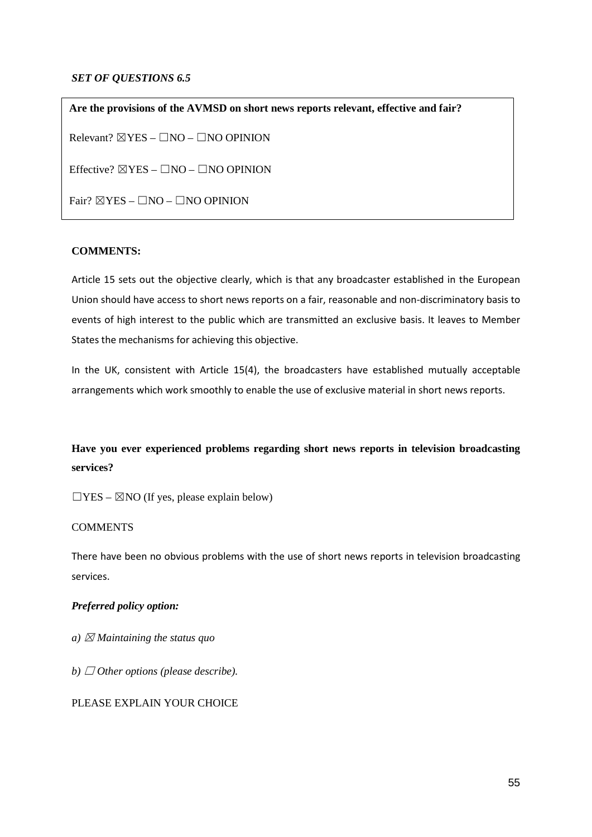### *SET OF QUESTIONS 6.5*

**Are the provisions of the AVMSD on short news reports relevant, effective and fair?**  $Relevant? \ \n $\boxtimes$  YES -  $\Box$  NO -  $\Box$  NO OPINION$ Effective?  $\boxtimes$  YES –  $\Box$ NO –  $\Box$ NO OPINION Fair?  $\boxtimes$  YES –  $\Box$ NO –  $\Box$ NO OPINION

### **COMMENTS:**

Article 15 sets out the objective clearly, which is that any broadcaster established in the European Union should have access to short news reports on a fair, reasonable and non-discriminatory basis to events of high interest to the public which are transmitted an exclusive basis. It leaves to Member States the mechanisms for achieving this objective.

In the UK, consistent with Article 15(4), the broadcasters have established mutually acceptable arrangements which work smoothly to enable the use of exclusive material in short news reports.

# **Have you ever experienced problems regarding short news reports in television broadcasting services?**

 $\Box$ YES –  $\boxtimes$ NO (If yes, please explain below)

#### **COMMENTS**

There have been no obvious problems with the use of short news reports in television broadcasting services.

#### *Preferred policy option:*

- *a*)  $\boxtimes$  *Maintaining the status quo*
- *b*)  $\Box$  *Other options (please describe).*

#### PLEASE EXPLAIN YOUR CHOICE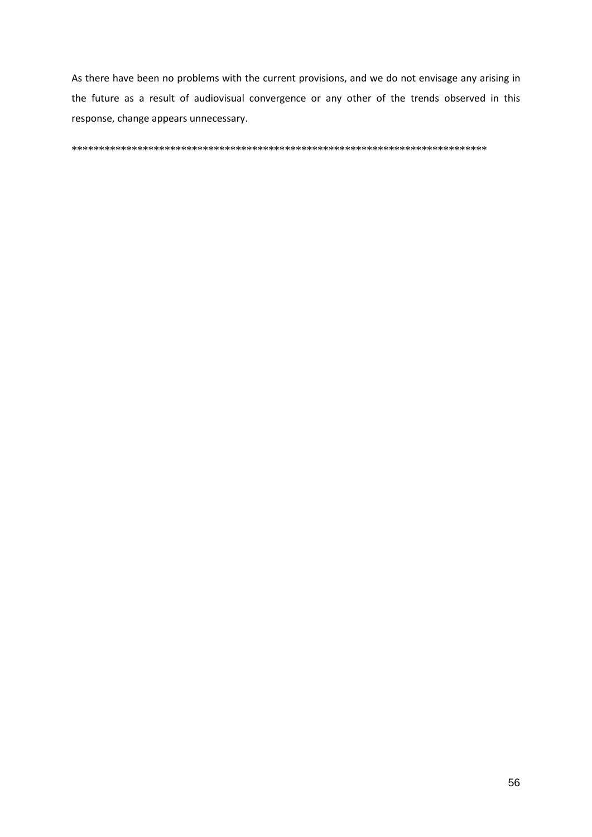As there have been no problems with the current provisions, and we do not envisage any arising in the future as a result of audiovisual convergence or any other of the trends observed in this response, change appears unnecessary.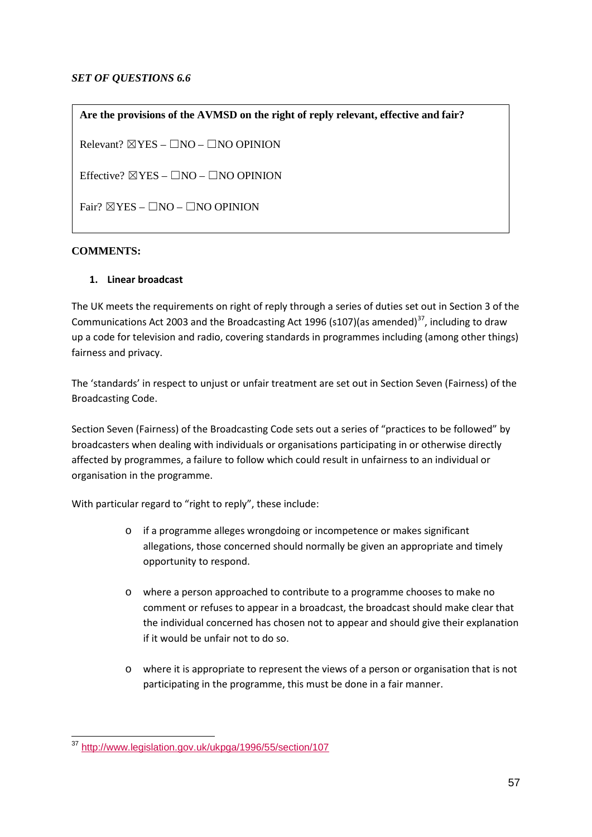### *SET OF QUESTIONS 6.6*

**Are the provisions of the AVMSD on the right of reply relevant, effective and fair?** Relevant?  $\boxtimes$  YES –  $\Box$ NO –  $\Box$ NO OPINION Effective?  $\boxtimes$  YES –  $\Box$ NO –  $\Box$ NO OPINION Fair?  $\boxtimes$ YES –  $\Box$ NO –  $\Box$ NO OPINION

# **COMMENTS:**

### **1. Linear broadcast**

The UK meets the requirements on right of reply through a series of duties set out in Section 3 of the Communications Act 2003 and the Broadcasting Act 1996 (s107)(as amended)<sup>[37](#page-56-0)</sup>, including to draw up a code for television and radio, covering standards in programmes including (among other things) fairness and privacy.

The 'standards' in respect to unjust or unfair treatment are set out in Section Seven (Fairness) of the Broadcasting Code.

Section Seven (Fairness) of the Broadcasting Code sets out a series of "practices to be followed" by broadcasters when dealing with individuals or organisations participating in or otherwise directly affected by programmes, a failure to follow which could result in unfairness to an individual or organisation in the programme.

With particular regard to "right to reply", these include:

- o if a programme alleges wrongdoing or incompetence or makes significant allegations, those concerned should normally be given an appropriate and timely opportunity to respond.
- o where a person approached to contribute to a programme chooses to make no comment or refuses to appear in a broadcast, the broadcast should make clear that the individual concerned has chosen not to appear and should give their explanation if it would be unfair not to do so.
- o where it is appropriate to represent the views of a person or organisation that is not participating in the programme, this must be done in a fair manner.

<span id="page-56-0"></span><sup>&</sup>lt;sup>37</sup> <http://www.legislation.gov.uk/ukpga/1996/55/section/107>  $\overline{a}$